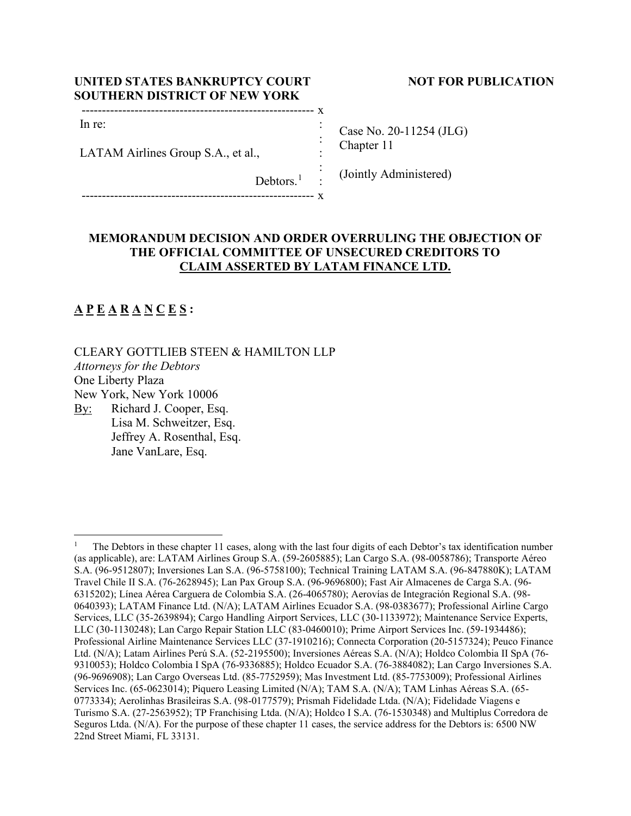## **UNITED STATES BANKRUPTCY COURT NOT FOR PUBLICATION SOUTHERN DISTRICT OF NEW YORK**

| ---- |  |
|------|--|
|      |  |

LATAM Airlines Group S.A., et al.,

Debtors.<sup>1</sup>

--------------------------------------------------------- x

Case No. 20-11254 (JLG) Chapter 11

(Jointly Administered)

# **MEMORANDUM DECISION AND ORDER OVERRULING THE OBJECTION OF THE OFFICIAL COMMITTEE OF UNSECURED CREDITORS TO CLAIM ASSERTED BY LATAM FINANCE LTD.**

: : : :

# **A P E A R A N C E S :**

CLEARY GOTTLIEB STEEN & HAMILTON LLP *Attorneys for the Debtors* One Liberty Plaza New York, New York 10006 By: Richard J. Cooper, Esq. Lisa M. Schweitzer, Esq.

Jeffrey A. Rosenthal, Esq. Jane VanLare, Esq.

<sup>1</sup> The Debtors in these chapter 11 cases, along with the last four digits of each Debtor's tax identification number (as applicable), are: LATAM Airlines Group S.A. (59-2605885); Lan Cargo S.A. (98-0058786); Transporte Aéreo S.A. (96-9512807); Inversiones Lan S.A. (96-5758100); Technical Training LATAM S.A. (96-847880K); LATAM Travel Chile II S.A. (76-2628945); Lan Pax Group S.A. (96-9696800); Fast Air Almacenes de Carga S.A. (96- 6315202); Línea Aérea Carguera de Colombia S.A. (26-4065780); Aerovías de Integración Regional S.A. (98- 0640393); LATAM Finance Ltd. (N/A); LATAM Airlines Ecuador S.A. (98-0383677); Professional Airline Cargo Services, LLC (35-2639894); Cargo Handling Airport Services, LLC (30-1133972); Maintenance Service Experts, LLC (30-1130248); Lan Cargo Repair Station LLC (83-0460010); Prime Airport Services Inc. (59-1934486); Professional Airline Maintenance Services LLC (37-1910216); Connecta Corporation (20-5157324); Peuco Finance Ltd. (N/A); Latam Airlines Perú S.A. (52-2195500); Inversiones Aéreas S.A. (N/A); Holdco Colombia II SpA (76- 9310053); Holdco Colombia I SpA (76-9336885); Holdco Ecuador S.A. (76-3884082); Lan Cargo Inversiones S.A. (96-9696908); Lan Cargo Overseas Ltd. (85-7752959); Mas Investment Ltd. (85-7753009); Professional Airlines Services Inc. (65-0623014); Piquero Leasing Limited (N/A); TAM S.A. (N/A); TAM Linhas Aéreas S.A. (65- 0773334); Aerolinhas Brasileiras S.A. (98-0177579); Prismah Fidelidade Ltda. (N/A); Fidelidade Viagens e Turismo S.A. (27-2563952); TP Franchising Ltda. (N/A); Holdco I S.A. (76-1530348) and Multiplus Corredora de Seguros Ltda. (N/A). For the purpose of these chapter 11 cases, the service address for the Debtors is: 6500 NW 22nd Street Miami, FL 33131.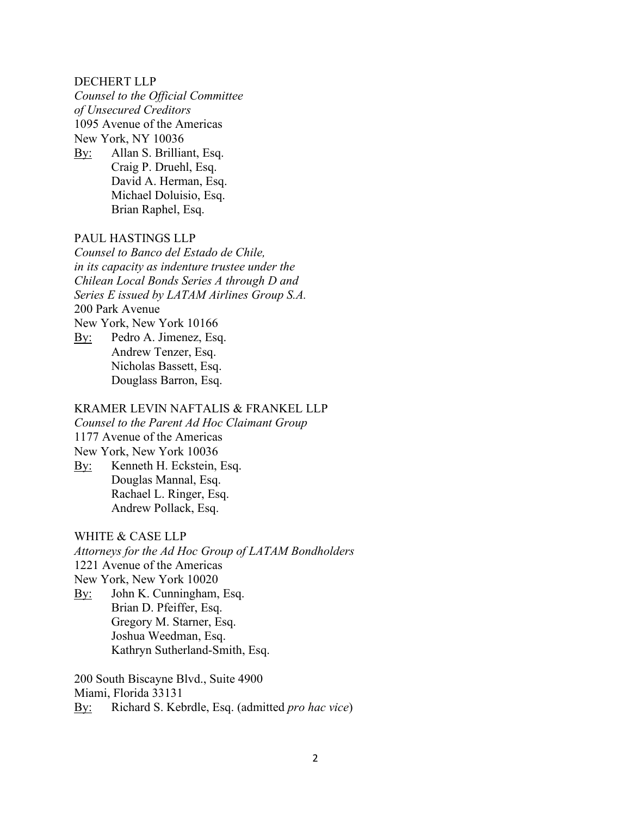#### DECHERT LLP

*Counsel to the Official Committee of Unsecured Creditors* 1095 Avenue of the Americas New York, NY 10036

By: Allan S. Brilliant, Esq. Craig P. Druehl, Esq. David A. Herman, Esq. Michael Doluisio, Esq. Brian Raphel, Esq.

# PAUL HASTINGS LLP

*Counsel to Banco del Estado de Chile, in its capacity as indenture trustee under the Chilean Local Bonds Series A through D and Series E issued by LATAM Airlines Group S.A.* 200 Park Avenue New York, New York 10166 By: Pedro A. Jimenez, Esq. Andrew Tenzer, Esq. Nicholas Bassett, Esq. Douglass Barron, Esq.

# KRAMER LEVIN NAFTALIS & FRANKEL LLP

*Counsel to the Parent Ad Hoc Claimant Group* 1177 Avenue of the Americas

- New York, New York 10036
- By: Kenneth H. Eckstein, Esq. Douglas Mannal, Esq. Rachael L. Ringer, Esq. Andrew Pollack, Esq.

### WHITE & CASE LLP

*Attorneys for the Ad Hoc Group of LATAM Bondholders* 1221 Avenue of the Americas New York, New York 10020 By: John K. Cunningham, Esq. Brian D. Pfeiffer, Esq. Gregory M. Starner, Esq. Joshua Weedman, Esq.

Kathryn Sutherland-Smith, Esq.

200 South Biscayne Blvd., Suite 4900 Miami, Florida 33131 By: Richard S. Kebrdle, Esq. (admitted *pro hac vice*)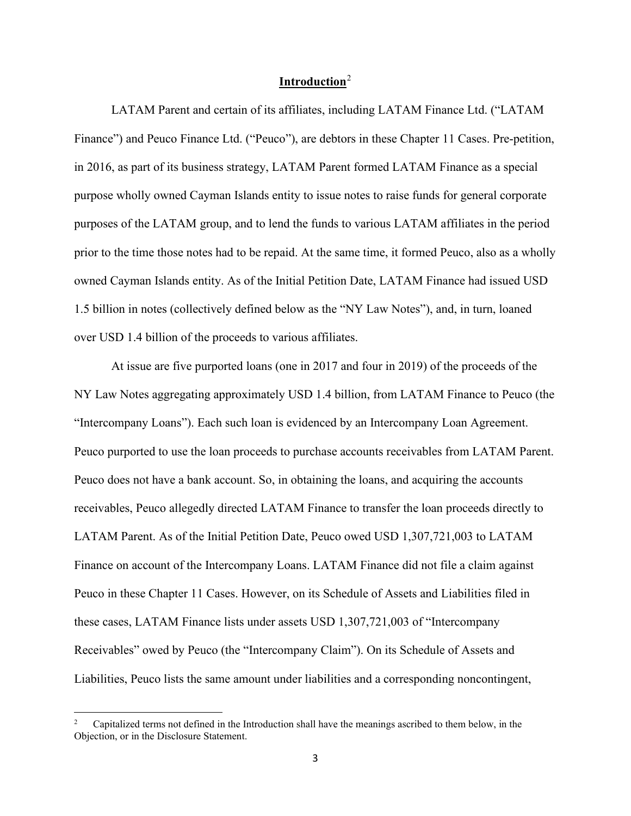## **Introduction**<sup>2</sup>

LATAM Parent and certain of its affiliates, including LATAM Finance Ltd. ("LATAM Finance") and Peuco Finance Ltd. ("Peuco"), are debtors in these Chapter 11 Cases. Pre-petition, in 2016, as part of its business strategy, LATAM Parent formed LATAM Finance as a special purpose wholly owned Cayman Islands entity to issue notes to raise funds for general corporate purposes of the LATAM group, and to lend the funds to various LATAM affiliates in the period prior to the time those notes had to be repaid. At the same time, it formed Peuco, also as a wholly owned Cayman Islands entity. As of the Initial Petition Date, LATAM Finance had issued USD 1.5 billion in notes (collectively defined below as the "NY Law Notes"), and, in turn, loaned over USD 1.4 billion of the proceeds to various affiliates.

At issue are five purported loans (one in 2017 and four in 2019) of the proceeds of the NY Law Notes aggregating approximately USD 1.4 billion, from LATAM Finance to Peuco (the "Intercompany Loans"). Each such loan is evidenced by an Intercompany Loan Agreement. Peuco purported to use the loan proceeds to purchase accounts receivables from LATAM Parent. Peuco does not have a bank account. So, in obtaining the loans, and acquiring the accounts receivables, Peuco allegedly directed LATAM Finance to transfer the loan proceeds directly to LATAM Parent. As of the Initial Petition Date, Peuco owed USD 1,307,721,003 to LATAM Finance on account of the Intercompany Loans. LATAM Finance did not file a claim against Peuco in these Chapter 11 Cases. However, on its Schedule of Assets and Liabilities filed in these cases, LATAM Finance lists under assets USD 1,307,721,003 of "Intercompany Receivables" owed by Peuco (the "Intercompany Claim"). On its Schedule of Assets and Liabilities, Peuco lists the same amount under liabilities and a corresponding noncontingent,

<sup>2</sup> Capitalized terms not defined in the Introduction shall have the meanings ascribed to them below, in the Objection, or in the Disclosure Statement.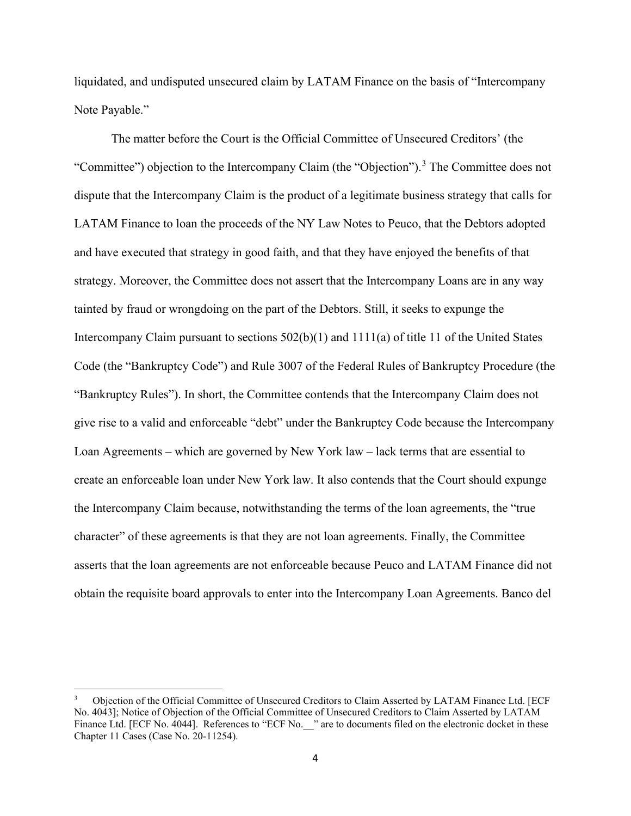liquidated, and undisputed unsecured claim by LATAM Finance on the basis of "Intercompany Note Payable."

The matter before the Court is the Official Committee of Unsecured Creditors' (the "Committee") objection to the Intercompany Claim (the "Objection").<sup>3</sup> The Committee does not dispute that the Intercompany Claim is the product of a legitimate business strategy that calls for LATAM Finance to loan the proceeds of the NY Law Notes to Peuco, that the Debtors adopted and have executed that strategy in good faith, and that they have enjoyed the benefits of that strategy. Moreover, the Committee does not assert that the Intercompany Loans are in any way tainted by fraud or wrongdoing on the part of the Debtors. Still, it seeks to expunge the Intercompany Claim pursuant to sections 502(b)(1) and 1111(a) of title 11 of the United States Code (the "Bankruptcy Code") and Rule 3007 of the Federal Rules of Bankruptcy Procedure (the "Bankruptcy Rules"). In short, the Committee contends that the Intercompany Claim does not give rise to a valid and enforceable "debt" under the Bankruptcy Code because the Intercompany Loan Agreements – which are governed by New York law – lack terms that are essential to create an enforceable loan under New York law. It also contends that the Court should expunge the Intercompany Claim because, notwithstanding the terms of the loan agreements, the "true character" of these agreements is that they are not loan agreements. Finally, the Committee asserts that the loan agreements are not enforceable because Peuco and LATAM Finance did not obtain the requisite board approvals to enter into the Intercompany Loan Agreements. Banco del

<sup>3</sup> Objection of the Official Committee of Unsecured Creditors to Claim Asserted by LATAM Finance Ltd. [ECF No. 4043]; Notice of Objection of the Official Committee of Unsecured Creditors to Claim Asserted by LATAM Finance Ltd. [ECF No. 4044]. References to "ECF No. " are to documents filed on the electronic docket in these Chapter 11 Cases (Case No. 20-11254).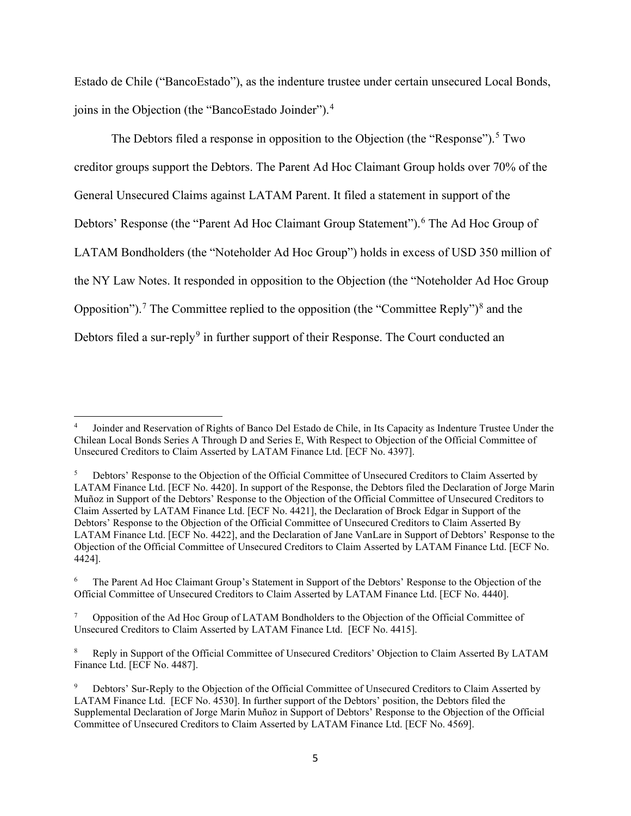Estado de Chile ("BancoEstado"), as the indenture trustee under certain unsecured Local Bonds, joins in the Objection (the "BancoEstado Joinder").<sup>4</sup>

The Debtors filed a response in opposition to the Objection (the "Response").<sup>5</sup> Two creditor groups support the Debtors. The Parent Ad Hoc Claimant Group holds over 70% of the General Unsecured Claims against LATAM Parent. It filed a statement in support of the Debtors' Response (the "Parent Ad Hoc Claimant Group Statement").<sup>6</sup> The Ad Hoc Group of LATAM Bondholders (the "Noteholder Ad Hoc Group") holds in excess of USD 350 million of the NY Law Notes. It responded in opposition to the Objection (the "Noteholder Ad Hoc Group Opposition").<sup>7</sup> The Committee replied to the opposition (the "Committee Reply")<sup>8</sup> and the Debtors filed a sur-reply<sup>9</sup> in further support of their Response. The Court conducted an

<sup>4</sup> Joinder and Reservation of Rights of Banco Del Estado de Chile, in Its Capacity as Indenture Trustee Under the Chilean Local Bonds Series A Through D and Series E, With Respect to Objection of the Official Committee of Unsecured Creditors to Claim Asserted by LATAM Finance Ltd. [ECF No. 4397].

<sup>5</sup> Debtors' Response to the Objection of the Official Committee of Unsecured Creditors to Claim Asserted by LATAM Finance Ltd. [ECF No. 4420]. In support of the Response, the Debtors filed the Declaration of Jorge Marin Muñoz in Support of the Debtors' Response to the Objection of the Official Committee of Unsecured Creditors to Claim Asserted by LATAM Finance Ltd. [ECF No. 4421], the Declaration of Brock Edgar in Support of the Debtors' Response to the Objection of the Official Committee of Unsecured Creditors to Claim Asserted By LATAM Finance Ltd. [ECF No. 4422], and the Declaration of Jane VanLare in Support of Debtors' Response to the Objection of the Official Committee of Unsecured Creditors to Claim Asserted by LATAM Finance Ltd. [ECF No. 4424].

<sup>6</sup> The Parent Ad Hoc Claimant Group's Statement in Support of the Debtors' Response to the Objection of the Official Committee of Unsecured Creditors to Claim Asserted by LATAM Finance Ltd. [ECF No. 4440].

<sup>7</sup> Opposition of the Ad Hoc Group of LATAM Bondholders to the Objection of the Official Committee of Unsecured Creditors to Claim Asserted by LATAM Finance Ltd. [ECF No. 4415].

<sup>8</sup> Reply in Support of the Official Committee of Unsecured Creditors' Objection to Claim Asserted By LATAM Finance Ltd. [ECF No. 4487].

<sup>9</sup> Debtors' Sur-Reply to the Objection of the Official Committee of Unsecured Creditors to Claim Asserted by LATAM Finance Ltd. [ECF No. 4530]. In further support of the Debtors' position, the Debtors filed the Supplemental Declaration of Jorge Marin Muñoz in Support of Debtors' Response to the Objection of the Official Committee of Unsecured Creditors to Claim Asserted by LATAM Finance Ltd. [ECF No. 4569].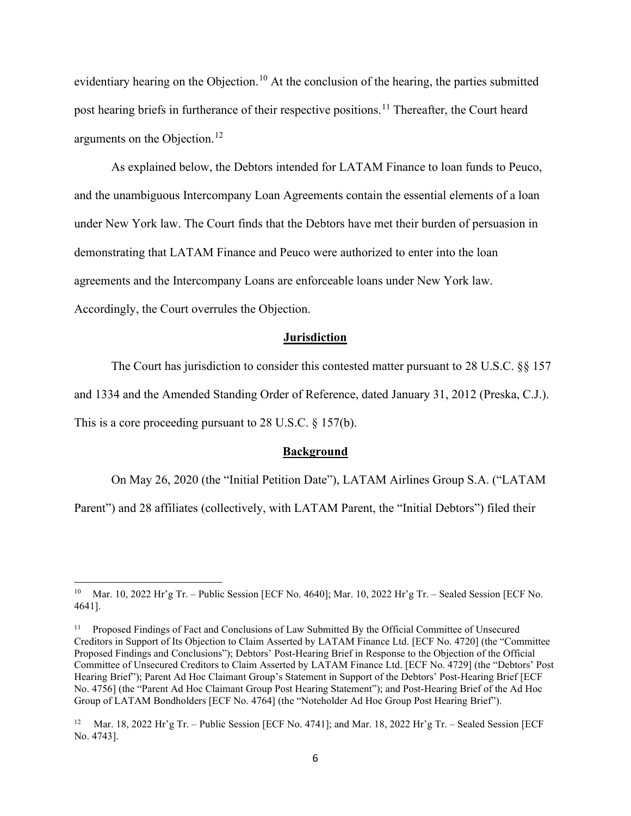evidentiary hearing on the Objection.<sup>10</sup> At the conclusion of the hearing, the parties submitted post hearing briefs in furtherance of their respective positions.<sup>11</sup> Thereafter, the Court heard arguments on the Objection.<sup>12</sup>

As explained below, the Debtors intended for LATAM Finance to loan funds to Peuco, and the unambiguous Intercompany Loan Agreements contain the essential elements of a loan under New York law. The Court finds that the Debtors have met their burden of persuasion in demonstrating that LATAM Finance and Peuco were authorized to enter into the loan agreements and the Intercompany Loans are enforceable loans under New York law. Accordingly, the Court overrules the Objection.

#### **Jurisdiction**

The Court has jurisdiction to consider this contested matter pursuant to 28 U.S.C. §§ 157 and 1334 and the Amended Standing Order of Reference, dated January 31, 2012 (Preska, C.J.). This is a core proceeding pursuant to 28 U.S.C. § 157(b).

#### **Background**

On May 26, 2020 (the "Initial Petition Date"), LATAM Airlines Group S.A. ("LATAM

Parent") and 28 affiliates (collectively, with LATAM Parent, the "Initial Debtors") filed their

Mar. 10, 2022 Hr'g Tr. – Public Session [ECF No. 4640]; Mar. 10, 2022 Hr'g Tr. – Sealed Session [ECF No. 4641].

<sup>&</sup>lt;sup>11</sup> Proposed Findings of Fact and Conclusions of Law Submitted By the Official Committee of Unsecured Creditors in Support of Its Objection to Claim Asserted by LATAM Finance Ltd. [ECF No. 4720] (the "Committee Proposed Findings and Conclusions"); Debtors' Post-Hearing Brief in Response to the Objection of the Official Committee of Unsecured Creditors to Claim Asserted by LATAM Finance Ltd. [ECF No. 4729] (the "Debtors' Post Hearing Brief"); Parent Ad Hoc Claimant Group's Statement in Support of the Debtors' Post-Hearing Brief [ECF No. 4756] (the "Parent Ad Hoc Claimant Group Post Hearing Statement"); and Post-Hearing Brief of the Ad Hoc Group of LATAM Bondholders [ECF No. 4764] (the "Noteholder Ad Hoc Group Post Hearing Brief").

<sup>12</sup> Mar. 18, 2022 Hr'g Tr. – Public Session [ECF No. 4741]; and Mar. 18, 2022 Hr'g Tr. – Sealed Session [ECF No. 4743].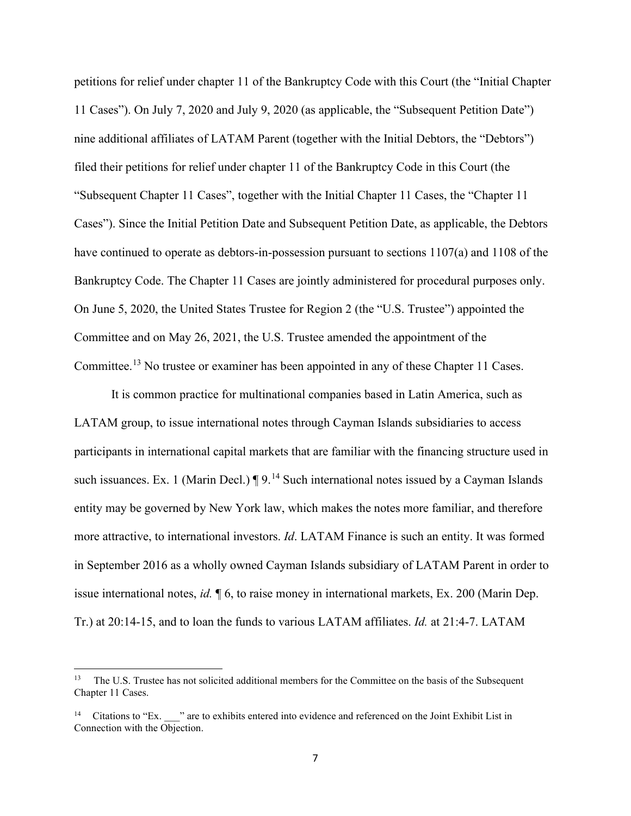petitions for relief under chapter 11 of the Bankruptcy Code with this Court (the "Initial Chapter 11 Cases"). On July 7, 2020 and July 9, 2020 (as applicable, the "Subsequent Petition Date") nine additional affiliates of LATAM Parent (together with the Initial Debtors, the "Debtors") filed their petitions for relief under chapter 11 of the Bankruptcy Code in this Court (the "Subsequent Chapter 11 Cases", together with the Initial Chapter 11 Cases, the "Chapter 11 Cases"). Since the Initial Petition Date and Subsequent Petition Date, as applicable, the Debtors have continued to operate as debtors-in-possession pursuant to sections 1107(a) and 1108 of the Bankruptcy Code. The Chapter 11 Cases are jointly administered for procedural purposes only. On June 5, 2020, the United States Trustee for Region 2 (the "U.S. Trustee") appointed the Committee and on May 26, 2021, the U.S. Trustee amended the appointment of the Committee.<sup>13</sup> No trustee or examiner has been appointed in any of these Chapter 11 Cases.

It is common practice for multinational companies based in Latin America, such as LATAM group, to issue international notes through Cayman Islands subsidiaries to access participants in international capital markets that are familiar with the financing structure used in such issuances. Ex. 1 (Marin Decl.)  $\P 9$ .<sup>14</sup> Such international notes issued by a Cayman Islands entity may be governed by New York law, which makes the notes more familiar, and therefore more attractive, to international investors. *Id*. LATAM Finance is such an entity. It was formed in September 2016 as a wholly owned Cayman Islands subsidiary of LATAM Parent in order to issue international notes, *id.* ¶ 6, to raise money in international markets, Ex. 200 (Marin Dep. Tr.) at 20:14-15, and to loan the funds to various LATAM affiliates. *Id.* at 21:4-7. LATAM

<sup>13</sup> The U.S. Trustee has not solicited additional members for the Committee on the basis of the Subsequent Chapter 11 Cases.

<sup>&</sup>lt;sup>14</sup> Citations to "Ex.  $\cdot$ " are to exhibits entered into evidence and referenced on the Joint Exhibit List in Connection with the Objection.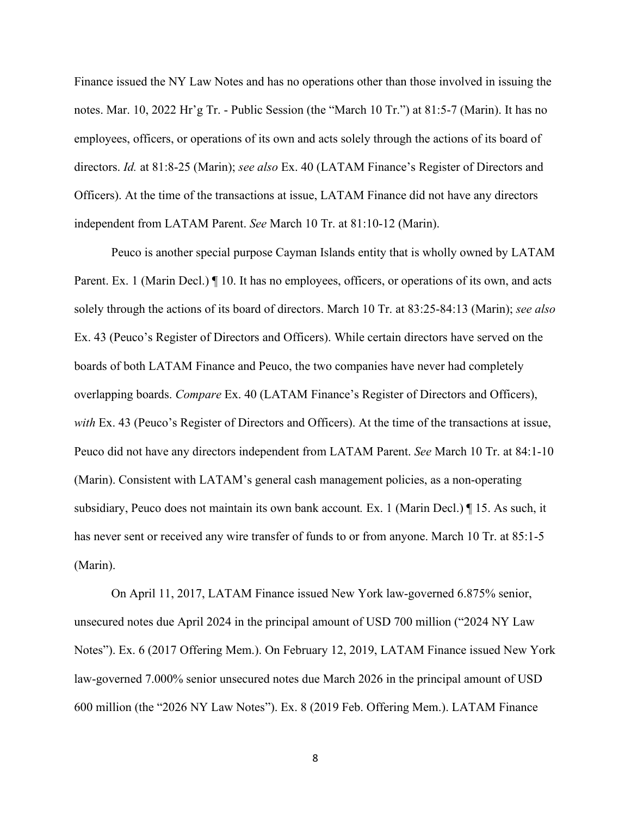Finance issued the NY Law Notes and has no operations other than those involved in issuing the notes. Mar. 10, 2022 Hr'g Tr. - Public Session (the "March 10 Tr.") at 81:5-7 (Marin). It has no employees, officers, or operations of its own and acts solely through the actions of its board of directors. *Id.* at 81:8-25 (Marin); *see also* Ex. 40 (LATAM Finance's Register of Directors and Officers). At the time of the transactions at issue, LATAM Finance did not have any directors independent from LATAM Parent. *See* March 10 Tr. at 81:10-12 (Marin).

Peuco is another special purpose Cayman Islands entity that is wholly owned by LATAM Parent. Ex. 1 (Marin Decl.) If 10. It has no employees, officers, or operations of its own, and acts solely through the actions of its board of directors. March 10 Tr. at 83:25-84:13 (Marin); *see also*  Ex. 43 (Peuco's Register of Directors and Officers). While certain directors have served on the boards of both LATAM Finance and Peuco, the two companies have never had completely overlapping boards. *Compare* Ex. 40 (LATAM Finance's Register of Directors and Officers), *with* Ex. 43 (Peuco's Register of Directors and Officers). At the time of the transactions at issue, Peuco did not have any directors independent from LATAM Parent. *See* March 10 Tr. at 84:1-10 (Marin). Consistent with LATAM's general cash management policies, as a non-operating subsidiary, Peuco does not maintain its own bank account*.* Ex. 1 (Marin Decl.) ¶ 15. As such, it has never sent or received any wire transfer of funds to or from anyone. March 10 Tr. at 85:1-5 (Marin).

On April 11, 2017, LATAM Finance issued New York law-governed 6.875% senior, unsecured notes due April 2024 in the principal amount of USD 700 million ("2024 NY Law Notes"). Ex. 6 (2017 Offering Mem.). On February 12, 2019, LATAM Finance issued New York law-governed 7.000% senior unsecured notes due March 2026 in the principal amount of USD 600 million (the "2026 NY Law Notes"). Ex. 8 (2019 Feb. Offering Mem.). LATAM Finance

8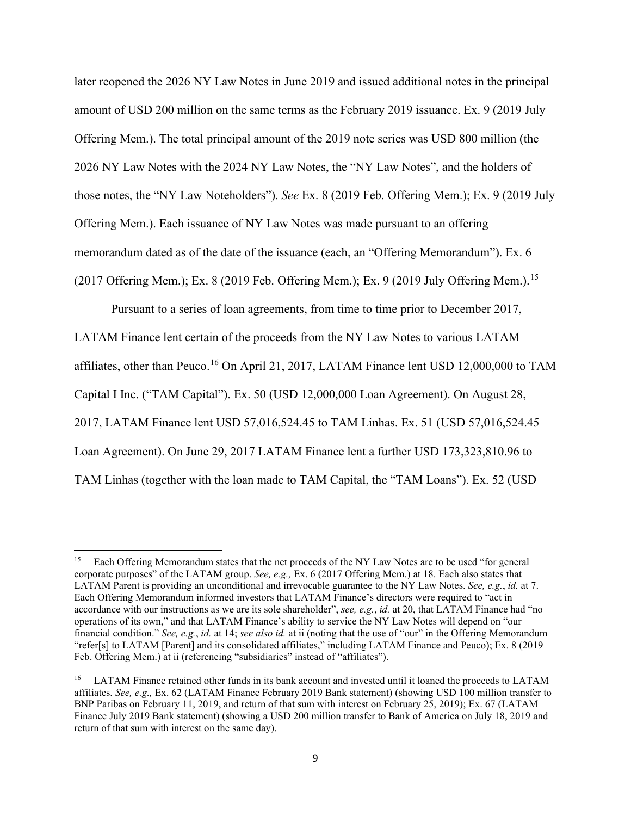later reopened the 2026 NY Law Notes in June 2019 and issued additional notes in the principal amount of USD 200 million on the same terms as the February 2019 issuance. Ex. 9 (2019 July Offering Mem.). The total principal amount of the 2019 note series was USD 800 million (the 2026 NY Law Notes with the 2024 NY Law Notes, the "NY Law Notes", and the holders of those notes, the "NY Law Noteholders"). *See* Ex. 8 (2019 Feb. Offering Mem.); Ex. 9 (2019 July Offering Mem.). Each issuance of NY Law Notes was made pursuant to an offering memorandum dated as of the date of the issuance (each, an "Offering Memorandum"). Ex. 6 (2017 Offering Mem.); Ex. 8 (2019 Feb. Offering Mem.); Ex. 9 (2019 July Offering Mem.).<sup>15</sup>

Pursuant to a series of loan agreements, from time to time prior to December 2017, LATAM Finance lent certain of the proceeds from the NY Law Notes to various LATAM affiliates, other than Peuco.<sup>16</sup> On April 21, 2017, LATAM Finance lent USD 12,000,000 to TAM Capital I Inc. ("TAM Capital"). Ex. 50 (USD 12,000,000 Loan Agreement). On August 28, 2017, LATAM Finance lent USD 57,016,524.45 to TAM Linhas. Ex. 51 (USD 57,016,524.45 Loan Agreement). On June 29, 2017 LATAM Finance lent a further USD 173,323,810.96 to TAM Linhas (together with the loan made to TAM Capital, the "TAM Loans"). Ex. 52 (USD

<sup>15</sup> Each Offering Memorandum states that the net proceeds of the NY Law Notes are to be used "for general corporate purposes" of the LATAM group. *See, e.g.,* Ex. 6 (2017 Offering Mem.) at 18. Each also states that LATAM Parent is providing an unconditional and irrevocable guarantee to the NY Law Notes. *See, e.g.*, *id.* at 7. Each Offering Memorandum informed investors that LATAM Finance's directors were required to "act in accordance with our instructions as we are its sole shareholder", *see, e.g.*, *id.* at 20, that LATAM Finance had "no operations of its own," and that LATAM Finance's ability to service the NY Law Notes will depend on "our financial condition." *See, e.g.*, *id.* at 14; *see also id.* at ii (noting that the use of "our" in the Offering Memorandum "refer[s] to LATAM [Parent] and its consolidated affiliates," including LATAM Finance and Peuco); Ex. 8 (2019 Feb. Offering Mem.) at ii (referencing "subsidiaries" instead of "affiliates").

<sup>&</sup>lt;sup>16</sup> LATAM Finance retained other funds in its bank account and invested until it loaned the proceeds to LATAM affiliates. *See, e.g.,* Ex. 62 (LATAM Finance February 2019 Bank statement) (showing USD 100 million transfer to BNP Paribas on February 11, 2019, and return of that sum with interest on February 25, 2019); Ex. 67 (LATAM Finance July 2019 Bank statement) (showing a USD 200 million transfer to Bank of America on July 18, 2019 and return of that sum with interest on the same day).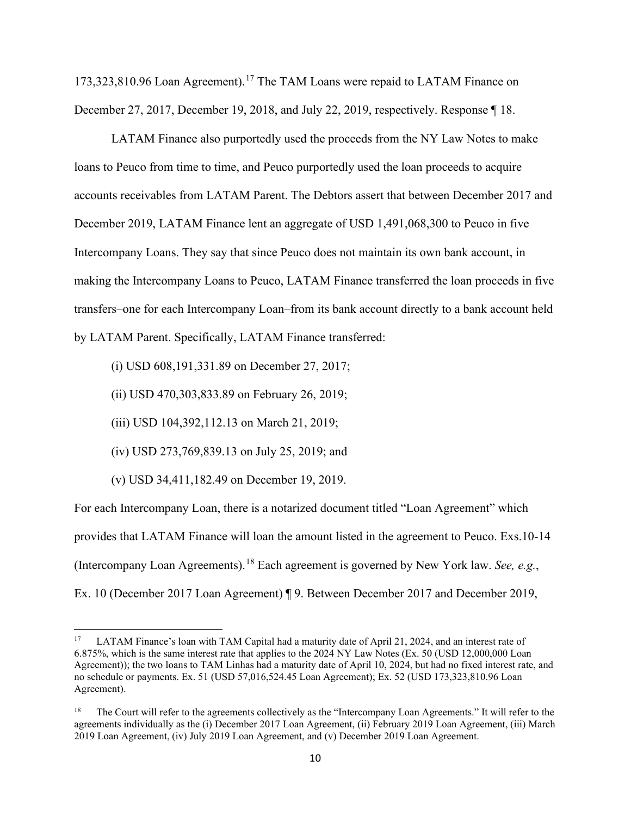173,323,810.96 Loan Agreement).<sup>17</sup> The TAM Loans were repaid to LATAM Finance on December 27, 2017, December 19, 2018, and July 22, 2019, respectively. Response ¶ 18.

LATAM Finance also purportedly used the proceeds from the NY Law Notes to make loans to Peuco from time to time, and Peuco purportedly used the loan proceeds to acquire accounts receivables from LATAM Parent. The Debtors assert that between December 2017 and December 2019, LATAM Finance lent an aggregate of USD 1,491,068,300 to Peuco in five Intercompany Loans. They say that since Peuco does not maintain its own bank account, in making the Intercompany Loans to Peuco, LATAM Finance transferred the loan proceeds in five transfers–one for each Intercompany Loan–from its bank account directly to a bank account held by LATAM Parent. Specifically, LATAM Finance transferred:

(i) USD 608,191,331.89 on December 27, 2017;

(ii) USD 470,303,833.89 on February 26, 2019;

(iii) USD 104,392,112.13 on March 21, 2019;

(iv) USD 273,769,839.13 on July 25, 2019; and

(v) USD 34,411,182.49 on December 19, 2019.

For each Intercompany Loan, there is a notarized document titled "Loan Agreement" which provides that LATAM Finance will loan the amount listed in the agreement to Peuco. Exs.10-14 (Intercompany Loan Agreements).<sup>18</sup> Each agreement is governed by New York law. *See, e.g.*, Ex. 10 (December 2017 Loan Agreement) ¶ 9. Between December 2017 and December 2019,

<sup>&</sup>lt;sup>17</sup> LATAM Finance's loan with TAM Capital had a maturity date of April 21, 2024, and an interest rate of 6.875%, which is the same interest rate that applies to the 2024 NY Law Notes (Ex. 50 (USD 12,000,000 Loan Agreement)); the two loans to TAM Linhas had a maturity date of April 10, 2024, but had no fixed interest rate, and no schedule or payments. Ex. 51 (USD 57,016,524.45 Loan Agreement); Ex. 52 (USD 173,323,810.96 Loan Agreement).

<sup>18</sup> The Court will refer to the agreements collectively as the "Intercompany Loan Agreements." It will refer to the agreements individually as the (i) December 2017 Loan Agreement, (ii) February 2019 Loan Agreement, (iii) March 2019 Loan Agreement, (iv) July 2019 Loan Agreement, and (v) December 2019 Loan Agreement.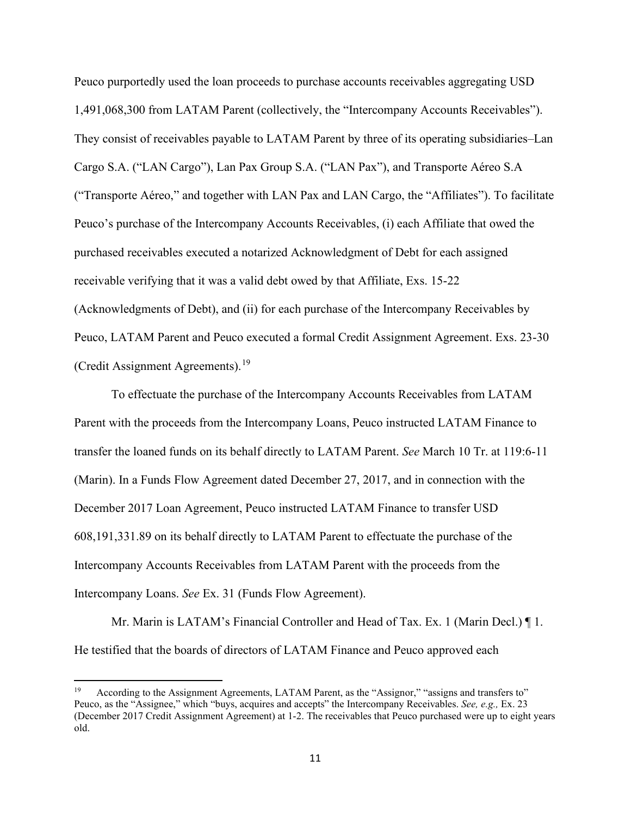Peuco purportedly used the loan proceeds to purchase accounts receivables aggregating USD 1,491,068,300 from LATAM Parent (collectively, the "Intercompany Accounts Receivables"). They consist of receivables payable to LATAM Parent by three of its operating subsidiaries–Lan Cargo S.A. ("LAN Cargo"), Lan Pax Group S.A. ("LAN Pax"), and Transporte Aéreo S.A ("Transporte Aéreo," and together with LAN Pax and LAN Cargo, the "Affiliates"). To facilitate Peuco's purchase of the Intercompany Accounts Receivables, (i) each Affiliate that owed the purchased receivables executed a notarized Acknowledgment of Debt for each assigned receivable verifying that it was a valid debt owed by that Affiliate, Exs. 15-22 (Acknowledgments of Debt), and (ii) for each purchase of the Intercompany Receivables by Peuco, LATAM Parent and Peuco executed a formal Credit Assignment Agreement. Exs. 23-30 (Credit Assignment Agreements).<sup>19</sup>

To effectuate the purchase of the Intercompany Accounts Receivables from LATAM Parent with the proceeds from the Intercompany Loans, Peuco instructed LATAM Finance to transfer the loaned funds on its behalf directly to LATAM Parent. *See* March 10 Tr. at 119:6-11 (Marin). In a Funds Flow Agreement dated December 27, 2017, and in connection with the December 2017 Loan Agreement, Peuco instructed LATAM Finance to transfer USD 608,191,331.89 on its behalf directly to LATAM Parent to effectuate the purchase of the Intercompany Accounts Receivables from LATAM Parent with the proceeds from the Intercompany Loans. *See* Ex. 31 (Funds Flow Agreement).

Mr. Marin is LATAM's Financial Controller and Head of Tax. Ex. 1 (Marin Decl.) ¶ 1. He testified that the boards of directors of LATAM Finance and Peuco approved each

According to the Assignment Agreements, LATAM Parent, as the "Assignor," "assigns and transfers to" Peuco, as the "Assignee," which "buys, acquires and accepts" the Intercompany Receivables. *See, e.g.,* Ex. 23 (December 2017 Credit Assignment Agreement) at 1-2. The receivables that Peuco purchased were up to eight years old.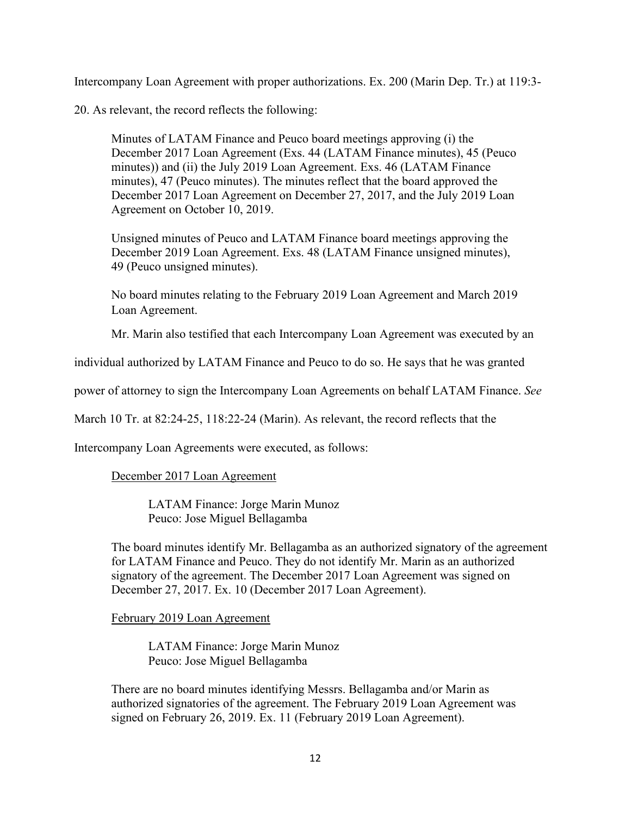Intercompany Loan Agreement with proper authorizations. Ex. 200 (Marin Dep. Tr.) at 119:3-

20. As relevant, the record reflects the following:

Minutes of LATAM Finance and Peuco board meetings approving (i) the December 2017 Loan Agreement (Exs. 44 (LATAM Finance minutes), 45 (Peuco minutes)) and (ii) the July 2019 Loan Agreement. Exs. 46 (LATAM Finance minutes), 47 (Peuco minutes). The minutes reflect that the board approved the December 2017 Loan Agreement on December 27, 2017, and the July 2019 Loan Agreement on October 10, 2019.

Unsigned minutes of Peuco and LATAM Finance board meetings approving the December 2019 Loan Agreement. Exs. 48 (LATAM Finance unsigned minutes), 49 (Peuco unsigned minutes).

No board minutes relating to the February 2019 Loan Agreement and March 2019 Loan Agreement.

Mr. Marin also testified that each Intercompany Loan Agreement was executed by an

individual authorized by LATAM Finance and Peuco to do so. He says that he was granted

power of attorney to sign the Intercompany Loan Agreements on behalf LATAM Finance. *See* 

March 10 Tr. at 82:24-25, 118:22-24 (Marin). As relevant, the record reflects that the

Intercompany Loan Agreements were executed, as follows:

# December 2017 Loan Agreement

LATAM Finance: Jorge Marin Munoz Peuco: Jose Miguel Bellagamba

The board minutes identify Mr. Bellagamba as an authorized signatory of the agreement for LATAM Finance and Peuco. They do not identify Mr. Marin as an authorized signatory of the agreement. The December 2017 Loan Agreement was signed on December 27, 2017. Ex. 10 (December 2017 Loan Agreement).

February 2019 Loan Agreement

LATAM Finance: Jorge Marin Munoz Peuco: Jose Miguel Bellagamba

There are no board minutes identifying Messrs. Bellagamba and/or Marin as authorized signatories of the agreement. The February 2019 Loan Agreement was signed on February 26, 2019. Ex. 11 (February 2019 Loan Agreement).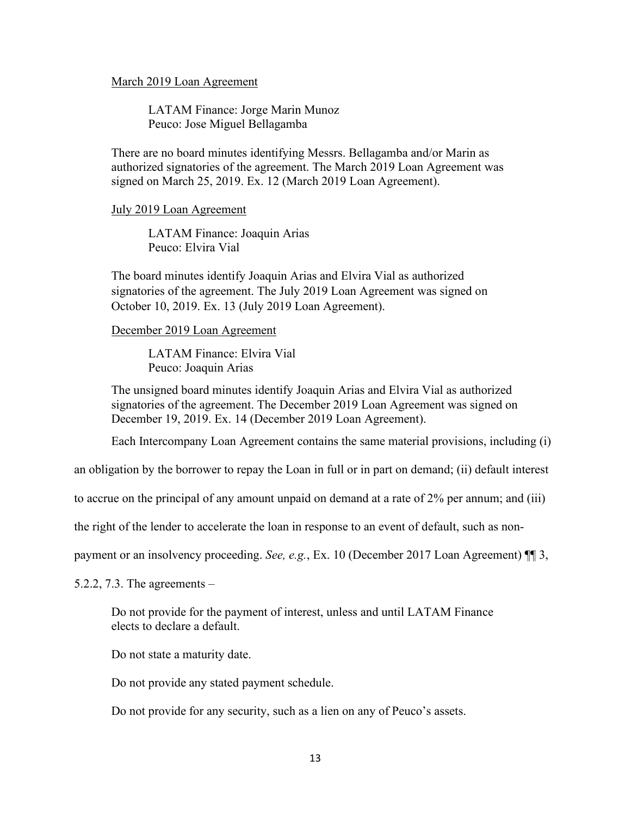## March 2019 Loan Agreement

LATAM Finance: Jorge Marin Munoz Peuco: Jose Miguel Bellagamba

There are no board minutes identifying Messrs. Bellagamba and/or Marin as authorized signatories of the agreement. The March 2019 Loan Agreement was signed on March 25, 2019. Ex. 12 (March 2019 Loan Agreement).

## July 2019 Loan Agreement

LATAM Finance: Joaquin Arias Peuco: Elvira Vial

The board minutes identify Joaquin Arias and Elvira Vial as authorized signatories of the agreement. The July 2019 Loan Agreement was signed on October 10, 2019. Ex. 13 (July 2019 Loan Agreement).

## December 2019 Loan Agreement

LATAM Finance: Elvira Vial Peuco: Joaquin Arias

The unsigned board minutes identify Joaquin Arias and Elvira Vial as authorized signatories of the agreement. The December 2019 Loan Agreement was signed on December 19, 2019. Ex. 14 (December 2019 Loan Agreement).

Each Intercompany Loan Agreement contains the same material provisions, including (i)

an obligation by the borrower to repay the Loan in full or in part on demand; (ii) default interest

to accrue on the principal of any amount unpaid on demand at a rate of 2% per annum; and (iii)

the right of the lender to accelerate the loan in response to an event of default, such as non-

payment or an insolvency proceeding. *See, e.g.*, Ex. 10 (December 2017 Loan Agreement) ¶¶ 3,

5.2.2, 7.3. The agreements –

Do not provide for the payment of interest, unless and until LATAM Finance elects to declare a default.

Do not state a maturity date.

Do not provide any stated payment schedule.

Do not provide for any security, such as a lien on any of Peuco's assets.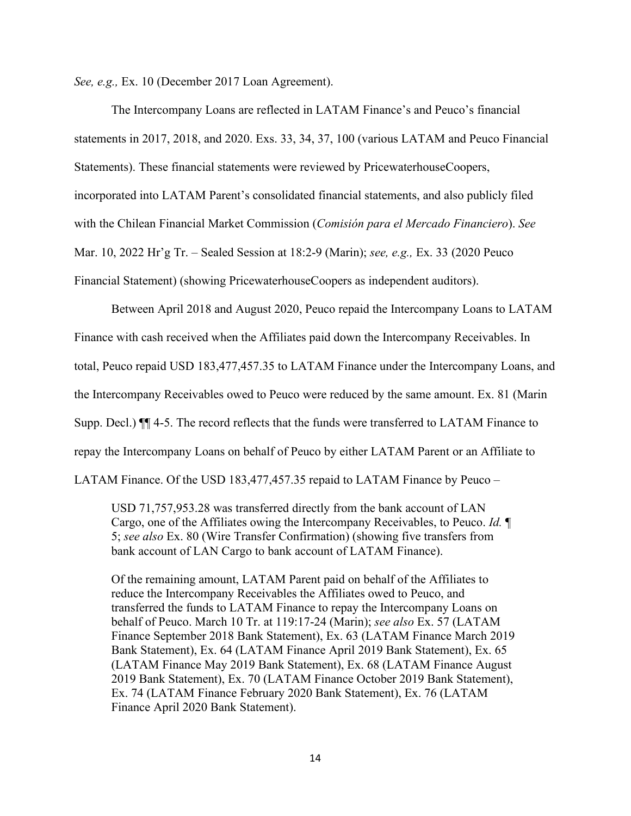*See, e.g.,* Ex. 10 (December 2017 Loan Agreement).

The Intercompany Loans are reflected in LATAM Finance's and Peuco's financial statements in 2017, 2018, and 2020. Exs. 33, 34, 37, 100 (various LATAM and Peuco Financial Statements). These financial statements were reviewed by PricewaterhouseCoopers, incorporated into LATAM Parent's consolidated financial statements, and also publicly filed with the Chilean Financial Market Commission (*Comisión para el Mercado Financiero*). *See*  Mar. 10, 2022 Hr'g Tr. – Sealed Session at 18:2-9 (Marin); *see, e.g.,* Ex. 33 (2020 Peuco Financial Statement) (showing PricewaterhouseCoopers as independent auditors).

Between April 2018 and August 2020, Peuco repaid the Intercompany Loans to LATAM Finance with cash received when the Affiliates paid down the Intercompany Receivables. In total, Peuco repaid USD 183,477,457.35 to LATAM Finance under the Intercompany Loans, and the Intercompany Receivables owed to Peuco were reduced by the same amount. Ex. 81 (Marin Supp. Decl.) ¶¶ 4-5. The record reflects that the funds were transferred to LATAM Finance to repay the Intercompany Loans on behalf of Peuco by either LATAM Parent or an Affiliate to LATAM Finance. Of the USD 183,477,457.35 repaid to LATAM Finance by Peuco –

USD 71,757,953.28 was transferred directly from the bank account of LAN Cargo, one of the Affiliates owing the Intercompany Receivables, to Peuco. *Id.* ¶ 5; *see also* Ex. 80 (Wire Transfer Confirmation) (showing five transfers from bank account of LAN Cargo to bank account of LATAM Finance).

Of the remaining amount, LATAM Parent paid on behalf of the Affiliates to reduce the Intercompany Receivables the Affiliates owed to Peuco, and transferred the funds to LATAM Finance to repay the Intercompany Loans on behalf of Peuco. March 10 Tr. at 119:17-24 (Marin); *see also* Ex. 57 (LATAM Finance September 2018 Bank Statement), Ex. 63 (LATAM Finance March 2019 Bank Statement), Ex. 64 (LATAM Finance April 2019 Bank Statement), Ex. 65 (LATAM Finance May 2019 Bank Statement), Ex. 68 (LATAM Finance August 2019 Bank Statement), Ex. 70 (LATAM Finance October 2019 Bank Statement), Ex. 74 (LATAM Finance February 2020 Bank Statement), Ex. 76 (LATAM Finance April 2020 Bank Statement).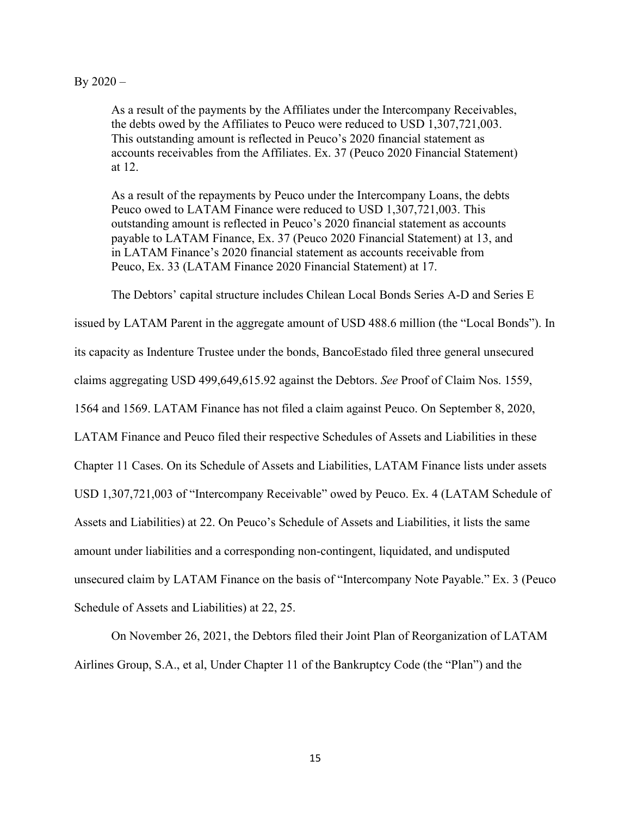#### $By 2020 -$

As a result of the payments by the Affiliates under the Intercompany Receivables, the debts owed by the Affiliates to Peuco were reduced to USD 1,307,721,003. This outstanding amount is reflected in Peuco's 2020 financial statement as accounts receivables from the Affiliates. Ex. 37 (Peuco 2020 Financial Statement) at 12.

As a result of the repayments by Peuco under the Intercompany Loans, the debts Peuco owed to LATAM Finance were reduced to USD 1,307,721,003. This outstanding amount is reflected in Peuco's 2020 financial statement as accounts payable to LATAM Finance, Ex. 37 (Peuco 2020 Financial Statement) at 13, and in LATAM Finance's 2020 financial statement as accounts receivable from Peuco, Ex. 33 (LATAM Finance 2020 Financial Statement) at 17.

The Debtors' capital structure includes Chilean Local Bonds Series A-D and Series E

issued by LATAM Parent in the aggregate amount of USD 488.6 million (the "Local Bonds"). In its capacity as Indenture Trustee under the bonds, BancoEstado filed three general unsecured claims aggregating USD 499,649,615.92 against the Debtors. *See* Proof of Claim Nos. 1559, 1564 and 1569. LATAM Finance has not filed a claim against Peuco. On September 8, 2020, LATAM Finance and Peuco filed their respective Schedules of Assets and Liabilities in these Chapter 11 Cases. On its Schedule of Assets and Liabilities, LATAM Finance lists under assets USD 1,307,721,003 of "Intercompany Receivable" owed by Peuco. Ex. 4 (LATAM Schedule of Assets and Liabilities) at 22. On Peuco's Schedule of Assets and Liabilities, it lists the same amount under liabilities and a corresponding non-contingent, liquidated, and undisputed unsecured claim by LATAM Finance on the basis of "Intercompany Note Payable." Ex. 3 (Peuco Schedule of Assets and Liabilities) at 22, 25.

On November 26, 2021, the Debtors filed their Joint Plan of Reorganization of LATAM Airlines Group, S.A., et al, Under Chapter 11 of the Bankruptcy Code (the "Plan") and the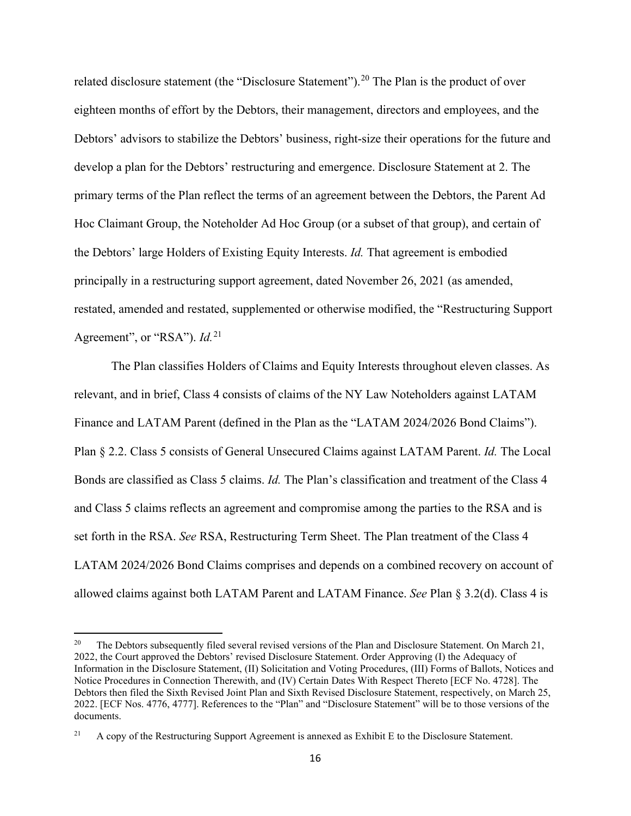related disclosure statement (the "Disclosure Statement").<sup>20</sup> The Plan is the product of over eighteen months of effort by the Debtors, their management, directors and employees, and the Debtors' advisors to stabilize the Debtors' business, right-size their operations for the future and develop a plan for the Debtors' restructuring and emergence. Disclosure Statement at 2. The primary terms of the Plan reflect the terms of an agreement between the Debtors, the Parent Ad Hoc Claimant Group, the Noteholder Ad Hoc Group (or a subset of that group), and certain of the Debtors' large Holders of Existing Equity Interests. *Id.* That agreement is embodied principally in a restructuring support agreement, dated November 26, 2021 (as amended, restated, amended and restated, supplemented or otherwise modified, the "Restructuring Support Agreement", or "RSA"). *Id.*<sup>21</sup>

The Plan classifies Holders of Claims and Equity Interests throughout eleven classes. As relevant, and in brief, Class 4 consists of claims of the NY Law Noteholders against LATAM Finance and LATAM Parent (defined in the Plan as the "LATAM 2024/2026 Bond Claims"). Plan § 2.2. Class 5 consists of General Unsecured Claims against LATAM Parent. *Id.* The Local Bonds are classified as Class 5 claims. *Id.* The Plan's classification and treatment of the Class 4 and Class 5 claims reflects an agreement and compromise among the parties to the RSA and is set forth in the RSA. *See* RSA, Restructuring Term Sheet. The Plan treatment of the Class 4 LATAM 2024/2026 Bond Claims comprises and depends on a combined recovery on account of allowed claims against both LATAM Parent and LATAM Finance. *See* Plan § 3.2(d). Class 4 is

<sup>&</sup>lt;sup>20</sup> The Debtors subsequently filed several revised versions of the Plan and Disclosure Statement. On March 21, 2022, the Court approved the Debtors' revised Disclosure Statement. Order Approving (I) the Adequacy of Information in the Disclosure Statement, (II) Solicitation and Voting Procedures, (III) Forms of Ballots, Notices and Notice Procedures in Connection Therewith, and (IV) Certain Dates With Respect Thereto [ECF No. 4728]. The Debtors then filed the Sixth Revised Joint Plan and Sixth Revised Disclosure Statement, respectively, on March 25, 2022. [ECF Nos. 4776, 4777]. References to the "Plan" and "Disclosure Statement" will be to those versions of the documents.

<sup>&</sup>lt;sup>21</sup> A copy of the Restructuring Support Agreement is annexed as Exhibit E to the Disclosure Statement.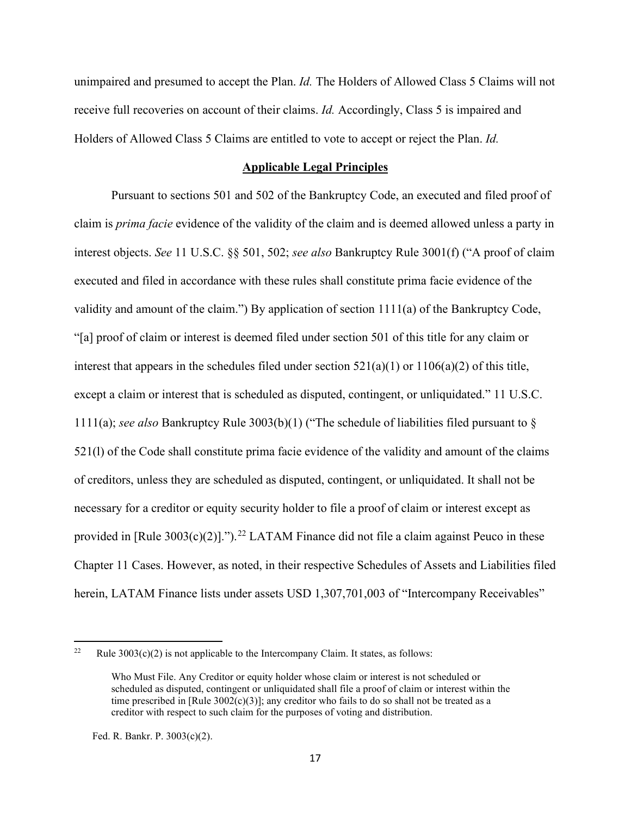unimpaired and presumed to accept the Plan. *Id.* The Holders of Allowed Class 5 Claims will not receive full recoveries on account of their claims. *Id.* Accordingly, Class 5 is impaired and Holders of Allowed Class 5 Claims are entitled to vote to accept or reject the Plan. *Id.*

#### **Applicable Legal Principles**

Pursuant to sections 501 and 502 of the Bankruptcy Code, an executed and filed proof of claim is *prima facie* evidence of the validity of the claim and is deemed allowed unless a party in interest objects. *See* 11 U.S.C. §§ 501, 502; *see also* Bankruptcy Rule 3001(f) ("A proof of claim executed and filed in accordance with these rules shall constitute prima facie evidence of the validity and amount of the claim.") By application of section 1111(a) of the Bankruptcy Code, "[a] proof of claim or interest is deemed filed under section 501 of this title for any claim or interest that appears in the schedules filed under section  $521(a)(1)$  or  $1106(a)(2)$  of this title, except a claim or interest that is scheduled as disputed, contingent, or unliquidated." 11 U.S.C. 1111(a); *see also* Bankruptcy Rule 3003(b)(1) ("The schedule of liabilities filed pursuant to § 521(l) of the Code shall constitute prima facie evidence of the validity and amount of the claims of creditors, unless they are scheduled as disputed, contingent, or unliquidated. It shall not be necessary for a creditor or equity security holder to file a proof of claim or interest except as provided in [Rule  $3003(c)(2)$ ].").<sup>22</sup> LATAM Finance did not file a claim against Peuco in these Chapter 11 Cases. However, as noted, in their respective Schedules of Assets and Liabilities filed herein, LATAM Finance lists under assets USD 1,307,701,003 of "Intercompany Receivables"

Fed. R. Bankr. P. 3003(c)(2).

<sup>&</sup>lt;sup>22</sup> Rule 3003(c)(2) is not applicable to the Intercompany Claim. It states, as follows:

Who Must File. Any Creditor or equity holder whose claim or interest is not scheduled or scheduled as disputed, contingent or unliquidated shall file a proof of claim or interest within the time prescribed in [Rule  $3002(c)(3)$ ]; any creditor who fails to do so shall not be treated as a creditor with respect to such claim for the purposes of voting and distribution.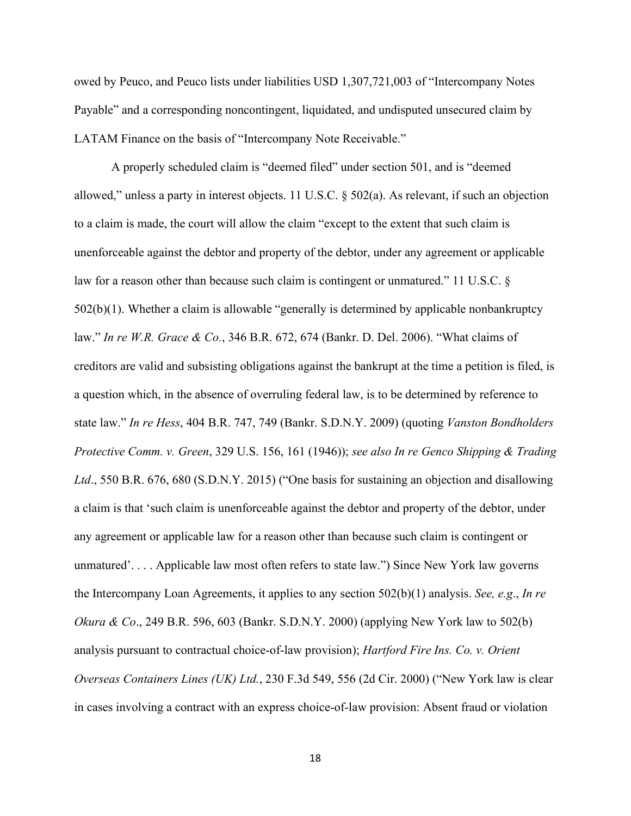owed by Peuco, and Peuco lists under liabilities USD 1,307,721,003 of "Intercompany Notes Payable" and a corresponding noncontingent, liquidated, and undisputed unsecured claim by LATAM Finance on the basis of "Intercompany Note Receivable."

A properly scheduled claim is "deemed filed" under section 501, and is "deemed allowed," unless a party in interest objects. 11 U.S.C. § 502(a). As relevant, if such an objection to a claim is made, the court will allow the claim "except to the extent that such claim is unenforceable against the debtor and property of the debtor, under any agreement or applicable law for a reason other than because such claim is contingent or unmatured." 11 U.S.C. § 502(b)(1). Whether a claim is allowable "generally is determined by applicable nonbankruptcy law." *In re W.R. Grace & Co.*, 346 B.R. 672, 674 (Bankr. D. Del. 2006). "What claims of creditors are valid and subsisting obligations against the bankrupt at the time a petition is filed, is a question which, in the absence of overruling federal law, is to be determined by reference to state law." *In re Hess*, 404 B.R. 747, 749 (Bankr. S.D.N.Y. 2009) (quoting *Vanston Bondholders Protective Comm. v. Green*, 329 U.S. 156, 161 (1946)); *see also In re Genco Shipping & Trading Ltd*., 550 B.R. 676, 680 (S.D.N.Y. 2015) ("One basis for sustaining an objection and disallowing a claim is that 'such claim is unenforceable against the debtor and property of the debtor, under any agreement or applicable law for a reason other than because such claim is contingent or unmatured'. . . . Applicable law most often refers to state law.") Since New York law governs the Intercompany Loan Agreements, it applies to any section 502(b)(1) analysis. *See, e.g*., *In re Okura & Co*., 249 B.R. 596, 603 (Bankr. S.D.N.Y. 2000) (applying New York law to 502(b) analysis pursuant to contractual choice-of-law provision); *Hartford Fire Ins. Co. v. Orient Overseas Containers Lines (UK) Ltd.*, 230 F.3d 549, 556 (2d Cir. 2000) ("New York law is clear in cases involving a contract with an express choice-of-law provision: Absent fraud or violation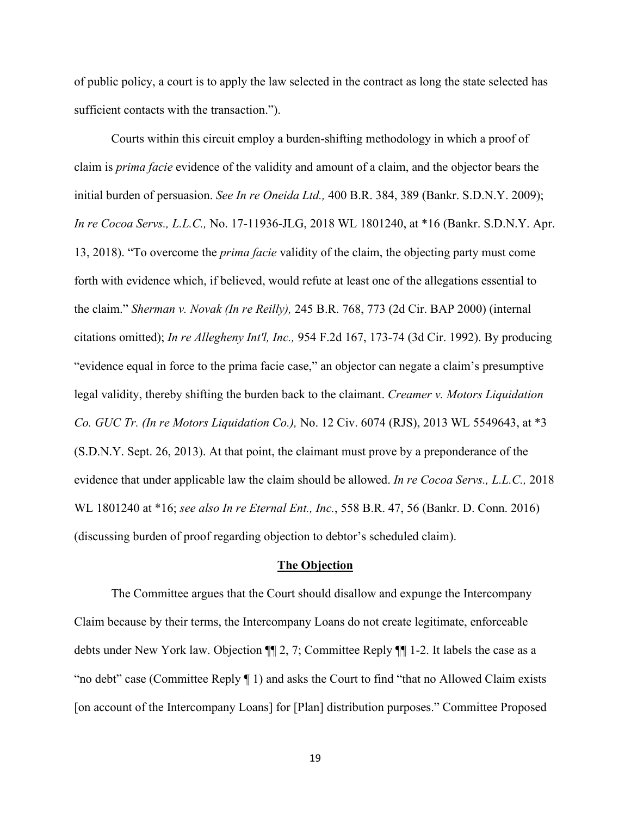of public policy, a court is to apply the law selected in the contract as long the state selected has sufficient contacts with the transaction.").

Courts within this circuit employ a burden-shifting methodology in which a proof of claim is *prima facie* evidence of the validity and amount of a claim, and the objector bears the initial burden of persuasion. *See In re Oneida Ltd.,* 400 B.R. 384, 389 (Bankr. S.D.N.Y. 2009); *In re Cocoa Servs., L.L.C.,* No. 17-11936-JLG, 2018 WL 1801240, at \*16 (Bankr. S.D.N.Y. Apr. 13, 2018). "To overcome the *prima facie* validity of the claim, the objecting party must come forth with evidence which, if believed, would refute at least one of the allegations essential to the claim." *Sherman v. Novak (In re Reilly),* 245 B.R. 768, 773 (2d Cir. BAP 2000) (internal citations omitted); *In re Allegheny Int'l, Inc.,* 954 F.2d 167, 173-74 (3d Cir. 1992). By producing "evidence equal in force to the prima facie case," an objector can negate a claim's presumptive legal validity, thereby shifting the burden back to the claimant. *Creamer v. Motors Liquidation Co. GUC Tr. (In re Motors Liquidation Co.),* No. 12 Civ. 6074 (RJS), 2013 WL 5549643, at \*3 (S.D.N.Y. Sept. 26, 2013). At that point, the claimant must prove by a preponderance of the evidence that under applicable law the claim should be allowed. *In re Cocoa Servs., L.L.C.,* 2018 WL 1801240 at \*16; *see also In re Eternal Ent., Inc.*, 558 B.R. 47, 56 (Bankr. D. Conn. 2016) (discussing burden of proof regarding objection to debtor's scheduled claim).

#### **The Objection**

The Committee argues that the Court should disallow and expunge the Intercompany Claim because by their terms, the Intercompany Loans do not create legitimate, enforceable debts under New York law. Objection ¶¶ 2, 7; Committee Reply ¶¶ 1-2. It labels the case as a "no debt" case (Committee Reply ¶ 1) and asks the Court to find "that no Allowed Claim exists [on account of the Intercompany Loans] for [Plan] distribution purposes." Committee Proposed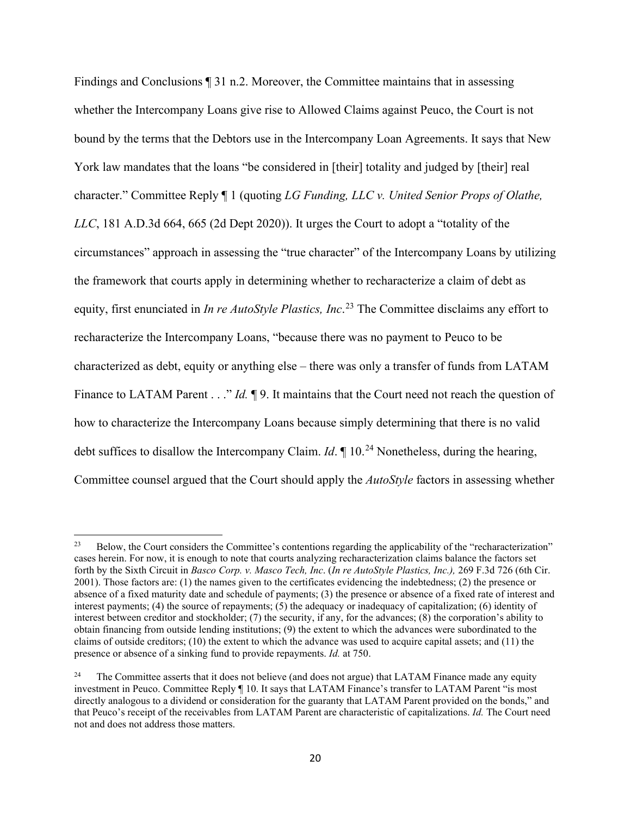Findings and Conclusions ¶ 31 n.2. Moreover, the Committee maintains that in assessing whether the Intercompany Loans give rise to Allowed Claims against Peuco, the Court is not bound by the terms that the Debtors use in the Intercompany Loan Agreements. It says that New York law mandates that the loans "be considered in [their] totality and judged by [their] real character." Committee Reply ¶ 1 (quoting *LG Funding, LLC v. United Senior Props of Olathe, LLC*, 181 A.D.3d 664, 665 (2d Dept 2020)). It urges the Court to adopt a "totality of the circumstances" approach in assessing the "true character" of the Intercompany Loans by utilizing the framework that courts apply in determining whether to recharacterize a claim of debt as equity, first enunciated in *In re AutoStyle Plastics, Inc*. <sup>23</sup> The Committee disclaims any effort to recharacterize the Intercompany Loans, "because there was no payment to Peuco to be characterized as debt, equity or anything else – there was only a transfer of funds from LATAM Finance to LATAM Parent . . ." *Id.*  $\mathbb{I}9$ . It maintains that the Court need not reach the question of how to characterize the Intercompany Loans because simply determining that there is no valid debt suffices to disallow the Intercompany Claim. *Id*.  $\parallel$  10.<sup>24</sup> Nonetheless, during the hearing, Committee counsel argued that the Court should apply the *AutoStyle* factors in assessing whether

<sup>&</sup>lt;sup>23</sup> Below, the Court considers the Committee's contentions regarding the applicability of the "recharacterization" cases herein. For now, it is enough to note that courts analyzing recharacterization claims balance the factors set forth by the Sixth Circuit in *Basco Corp. v. Masco Tech, Inc*. (*In re AutoStyle Plastics, Inc.),* 269 F.3d 726 (6th Cir. 2001). Those factors are: (1) the names given to the certificates evidencing the indebtedness; (2) the presence or absence of a fixed maturity date and schedule of payments; (3) the presence or absence of a fixed rate of interest and interest payments; (4) the source of repayments; (5) the adequacy or inadequacy of capitalization; (6) identity of interest between creditor and stockholder; (7) the security, if any, for the advances; (8) the corporation's ability to obtain financing from outside lending institutions; (9) the extent to which the advances were subordinated to the claims of outside creditors; (10) the extent to which the advance was used to acquire capital assets; and (11) the presence or absence of a sinking fund to provide repayments. *Id.* at 750.

<sup>&</sup>lt;sup>24</sup> The Committee asserts that it does not believe (and does not argue) that LATAM Finance made any equity investment in Peuco. Committee Reply ¶ 10. It says that LATAM Finance's transfer to LATAM Parent "is most directly analogous to a dividend or consideration for the guaranty that LATAM Parent provided on the bonds," and that Peuco's receipt of the receivables from LATAM Parent are characteristic of capitalizations. *Id.* The Court need not and does not address those matters.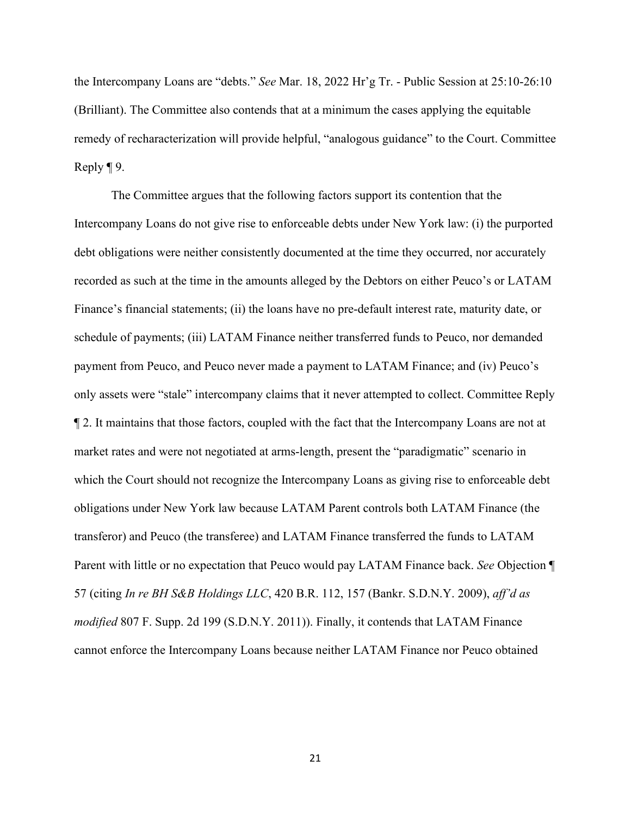the Intercompany Loans are "debts." *See* Mar. 18, 2022 Hr'g Tr. - Public Session at 25:10-26:10 (Brilliant). The Committee also contends that at a minimum the cases applying the equitable remedy of recharacterization will provide helpful, "analogous guidance" to the Court. Committee Reply ¶ 9.

The Committee argues that the following factors support its contention that the Intercompany Loans do not give rise to enforceable debts under New York law: (i) the purported debt obligations were neither consistently documented at the time they occurred, nor accurately recorded as such at the time in the amounts alleged by the Debtors on either Peuco's or LATAM Finance's financial statements; (ii) the loans have no pre-default interest rate, maturity date, or schedule of payments; (iii) LATAM Finance neither transferred funds to Peuco, nor demanded payment from Peuco, and Peuco never made a payment to LATAM Finance; and (iv) Peuco's only assets were "stale" intercompany claims that it never attempted to collect. Committee Reply ¶ 2. It maintains that those factors, coupled with the fact that the Intercompany Loans are not at market rates and were not negotiated at arms-length, present the "paradigmatic" scenario in which the Court should not recognize the Intercompany Loans as giving rise to enforceable debt obligations under New York law because LATAM Parent controls both LATAM Finance (the transferor) and Peuco (the transferee) and LATAM Finance transferred the funds to LATAM Parent with little or no expectation that Peuco would pay LATAM Finance back. *See* Objection ¶ 57 (citing *In re BH S&B Holdings LLC*, 420 B.R. 112, 157 (Bankr. S.D.N.Y. 2009), *aff'd as modified* 807 F. Supp. 2d 199 (S.D.N.Y. 2011)). Finally, it contends that LATAM Finance cannot enforce the Intercompany Loans because neither LATAM Finance nor Peuco obtained

21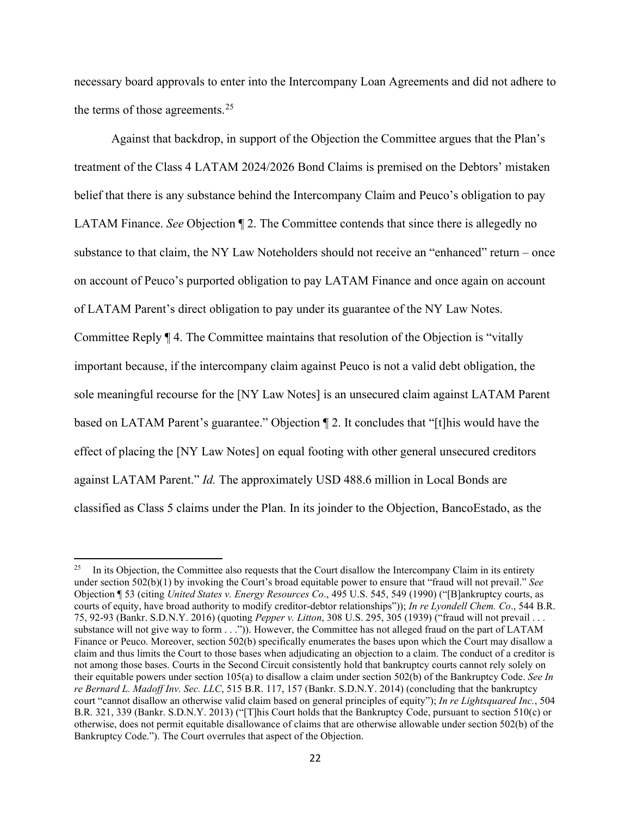necessary board approvals to enter into the Intercompany Loan Agreements and did not adhere to the terms of those agreements.<sup>25</sup>

Against that backdrop, in support of the Objection the Committee argues that the Plan's treatment of the Class 4 LATAM 2024/2026 Bond Claims is premised on the Debtors' mistaken belief that there is any substance behind the Intercompany Claim and Peuco's obligation to pay LATAM Finance. *See* Objection ¶ 2. The Committee contends that since there is allegedly no substance to that claim, the NY Law Noteholders should not receive an "enhanced" return – once on account of Peuco's purported obligation to pay LATAM Finance and once again on account of LATAM Parent's direct obligation to pay under its guarantee of the NY Law Notes. Committee Reply ¶ 4. The Committee maintains that resolution of the Objection is "vitally important because, if the intercompany claim against Peuco is not a valid debt obligation, the sole meaningful recourse for the [NY Law Notes] is an unsecured claim against LATAM Parent based on LATAM Parent's guarantee." Objection ¶ 2. It concludes that "[t]his would have the effect of placing the [NY Law Notes] on equal footing with other general unsecured creditors against LATAM Parent." *Id.* The approximately USD 488.6 million in Local Bonds are classified as Class 5 claims under the Plan. In its joinder to the Objection, BancoEstado, as the

In its Objection, the Committee also requests that the Court disallow the Intercompany Claim in its entirety under section 502(b)(1) by invoking the Court's broad equitable power to ensure that "fraud will not prevail." *See*  Objection ¶ 53 (citing *United States v. Energy Resources Co*., 495 U.S. 545, 549 (1990) ("[B]ankruptcy courts, as courts of equity, have broad authority to modify creditor-debtor relationships")); *In re Lyondell Chem. Co*., 544 B.R. 75, 92-93 (Bankr. S.D.N.Y. 2016) (quoting *Pepper v. Litton*, 308 U.S. 295, 305 (1939) ("fraud will not prevail . . . substance will not give way to form ...")). However, the Committee has not alleged fraud on the part of LATAM Finance or Peuco. Moreover, section 502(b) specifically enumerates the bases upon which the Court may disallow a claim and thus limits the Court to those bases when adjudicating an objection to a claim. The conduct of a creditor is not among those bases. Courts in the Second Circuit consistently hold that bankruptcy courts cannot rely solely on their equitable powers under section 105(a) to disallow a claim under section 502(b) of the Bankruptcy Code. *See In re Bernard L. Madoff Inv. Sec. LLC*, 515 B.R. 117, 157 (Bankr. S.D.N.Y. 2014) (concluding that the bankruptcy court "cannot disallow an otherwise valid claim based on general principles of equity"); *In re Lightsquared Inc.*, 504 B.R. 321, 339 (Bankr. S.D.N.Y. 2013) ("[T]his Court holds that the Bankruptcy Code, pursuant to section 510(c) or otherwise, does not permit equitable disallowance of claims that are otherwise allowable under section 502(b) of the Bankruptcy Code."). The Court overrules that aspect of the Objection.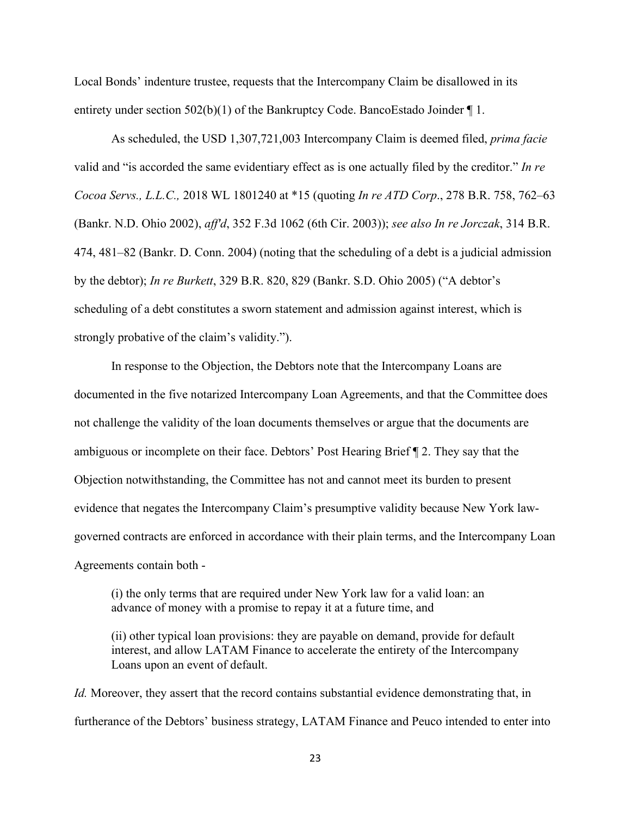Local Bonds' indenture trustee, requests that the Intercompany Claim be disallowed in its entirety under section  $502(b)(1)$  of the Bankruptcy Code. BancoEstado Joinder  $\P$  1.

As scheduled, the USD 1,307,721,003 Intercompany Claim is deemed filed, *prima facie*  valid and "is accorded the same evidentiary effect as is one actually filed by the creditor." *In re Cocoa Servs., L.L.C.,* 2018 WL 1801240 at \*15 (quoting *In re ATD Corp*., 278 B.R. 758, 762–63 (Bankr. N.D. Ohio 2002), *aff'd*, 352 F.3d 1062 (6th Cir. 2003)); *see also In re Jorczak*, 314 B.R. 474, 481–82 (Bankr. D. Conn. 2004) (noting that the scheduling of a debt is a judicial admission by the debtor); *In re Burkett*, 329 B.R. 820, 829 (Bankr. S.D. Ohio 2005) ("A debtor's scheduling of a debt constitutes a sworn statement and admission against interest, which is strongly probative of the claim's validity.").

In response to the Objection, the Debtors note that the Intercompany Loans are documented in the five notarized Intercompany Loan Agreements, and that the Committee does not challenge the validity of the loan documents themselves or argue that the documents are ambiguous or incomplete on their face. Debtors' Post Hearing Brief ¶ 2. They say that the Objection notwithstanding, the Committee has not and cannot meet its burden to present evidence that negates the Intercompany Claim's presumptive validity because New York lawgoverned contracts are enforced in accordance with their plain terms, and the Intercompany Loan Agreements contain both -

(i) the only terms that are required under New York law for a valid loan: an advance of money with a promise to repay it at a future time, and

(ii) other typical loan provisions: they are payable on demand, provide for default interest, and allow LATAM Finance to accelerate the entirety of the Intercompany Loans upon an event of default.

*Id.* Moreover, they assert that the record contains substantial evidence demonstrating that, in furtherance of the Debtors' business strategy, LATAM Finance and Peuco intended to enter into

23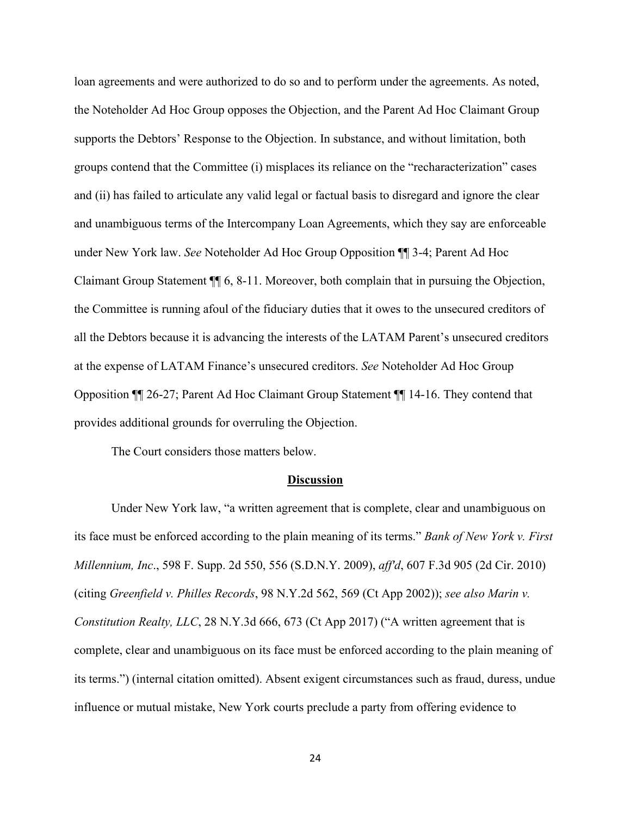loan agreements and were authorized to do so and to perform under the agreements. As noted, the Noteholder Ad Hoc Group opposes the Objection, and the Parent Ad Hoc Claimant Group supports the Debtors' Response to the Objection. In substance, and without limitation, both groups contend that the Committee (i) misplaces its reliance on the "recharacterization" cases and (ii) has failed to articulate any valid legal or factual basis to disregard and ignore the clear and unambiguous terms of the Intercompany Loan Agreements, which they say are enforceable under New York law. *See* Noteholder Ad Hoc Group Opposition ¶¶ 3-4; Parent Ad Hoc Claimant Group Statement ¶¶ 6, 8-11. Moreover, both complain that in pursuing the Objection, the Committee is running afoul of the fiduciary duties that it owes to the unsecured creditors of all the Debtors because it is advancing the interests of the LATAM Parent's unsecured creditors at the expense of LATAM Finance's unsecured creditors. *See* Noteholder Ad Hoc Group Opposition ¶¶ 26-27; Parent Ad Hoc Claimant Group Statement ¶¶ 14-16. They contend that provides additional grounds for overruling the Objection.

The Court considers those matters below.

#### **Discussion**

Under New York law, "a written agreement that is complete, clear and unambiguous on its face must be enforced according to the plain meaning of its terms." *Bank of New York v. First Millennium, Inc*., 598 F. Supp. 2d 550, 556 (S.D.N.Y. 2009), *aff'd*, 607 F.3d 905 (2d Cir. 2010) (citing *Greenfield v. Philles Records*, 98 N.Y.2d 562, 569 (Ct App 2002)); *see also Marin v. Constitution Realty, LLC*, 28 N.Y.3d 666, 673 (Ct App 2017) ("A written agreement that is complete, clear and unambiguous on its face must be enforced according to the plain meaning of its terms.") (internal citation omitted). Absent exigent circumstances such as fraud, duress, undue influence or mutual mistake, New York courts preclude a party from offering evidence to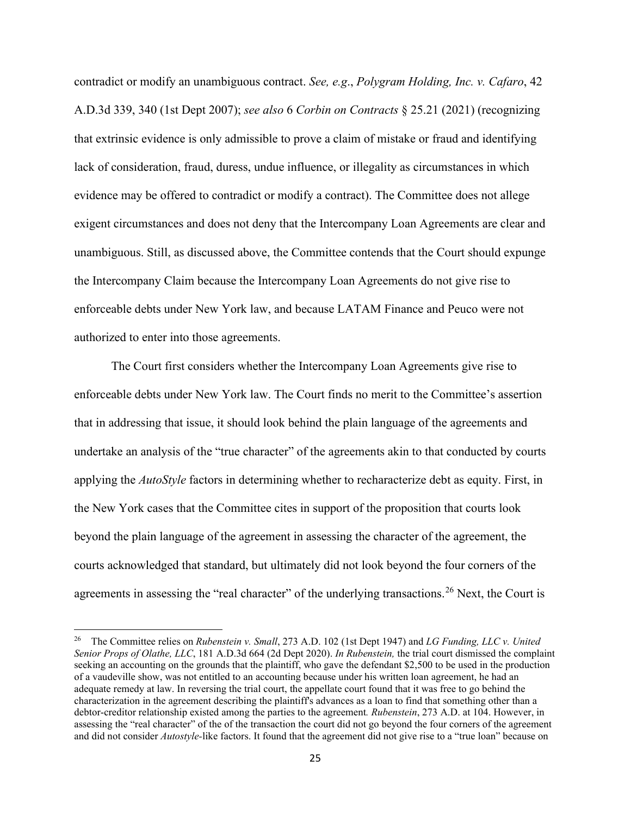contradict or modify an unambiguous contract. *See, e.g*., *Polygram Holding, Inc. v. Cafaro*, 42 A.D.3d 339, 340 (1st Dept 2007); *see also* 6 *Corbin on Contracts* § 25.21 (2021) (recognizing that extrinsic evidence is only admissible to prove a claim of mistake or fraud and identifying lack of consideration, fraud, duress, undue influence, or illegality as circumstances in which evidence may be offered to contradict or modify a contract). The Committee does not allege exigent circumstances and does not deny that the Intercompany Loan Agreements are clear and unambiguous. Still, as discussed above, the Committee contends that the Court should expunge the Intercompany Claim because the Intercompany Loan Agreements do not give rise to enforceable debts under New York law, and because LATAM Finance and Peuco were not authorized to enter into those agreements.

The Court first considers whether the Intercompany Loan Agreements give rise to enforceable debts under New York law. The Court finds no merit to the Committee's assertion that in addressing that issue, it should look behind the plain language of the agreements and undertake an analysis of the "true character" of the agreements akin to that conducted by courts applying the *AutoStyle* factors in determining whether to recharacterize debt as equity. First, in the New York cases that the Committee cites in support of the proposition that courts look beyond the plain language of the agreement in assessing the character of the agreement, the courts acknowledged that standard, but ultimately did not look beyond the four corners of the agreements in assessing the "real character" of the underlying transactions.<sup>26</sup> Next, the Court is

<sup>26</sup> The Committee relies on *Rubenstein v. Small*, 273 A.D. 102 (1st Dept 1947) and *LG Funding, LLC v. United Senior Props of Olathe, LLC*, 181 A.D.3d 664 (2d Dept 2020). *In Rubenstein,* the trial court dismissed the complaint seeking an accounting on the grounds that the plaintiff, who gave the defendant \$2,500 to be used in the production of a vaudeville show, was not entitled to an accounting because under his written loan agreement, he had an adequate remedy at law. In reversing the trial court, the appellate court found that it was free to go behind the characterization in the agreement describing the plaintiff's advances as a loan to find that something other than a debtor-creditor relationship existed among the parties to the agreement*. Rubenstein*, 273 A.D. at 104. However, in assessing the "real character" of the of the transaction the court did not go beyond the four corners of the agreement and did not consider *Autostyle-*like factors. It found that the agreement did not give rise to a "true loan" because on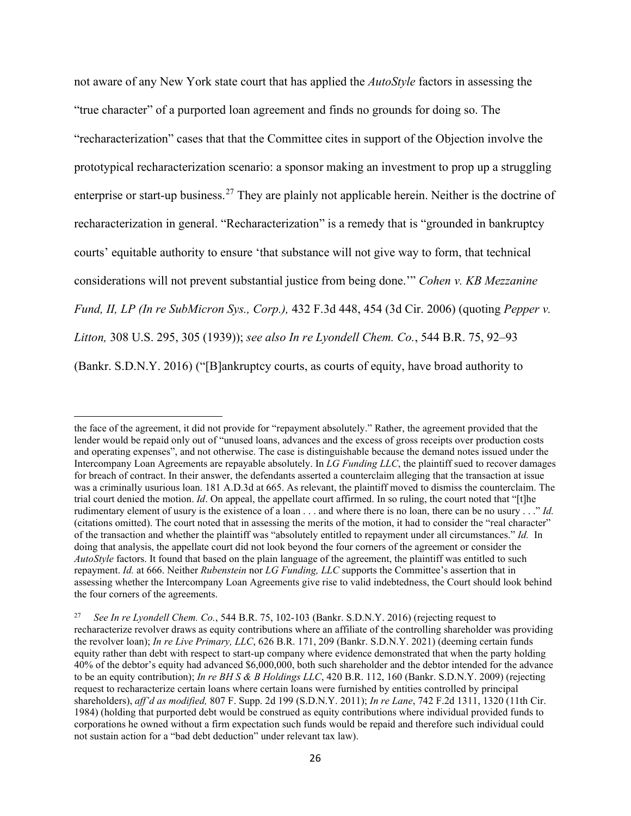not aware of any New York state court that has applied the *AutoStyle* factors in assessing the "true character" of a purported loan agreement and finds no grounds for doing so. The "recharacterization" cases that that the Committee cites in support of the Objection involve the prototypical recharacterization scenario: a sponsor making an investment to prop up a struggling enterprise or start-up business.<sup>27</sup> They are plainly not applicable herein. Neither is the doctrine of recharacterization in general. "Recharacterization" is a remedy that is "grounded in bankruptcy courts' equitable authority to ensure 'that substance will not give way to form, that technical considerations will not prevent substantial justice from being done.'" *Cohen v. KB Mezzanine Fund, II, LP (In re SubMicron Sys., Corp.),* 432 F.3d 448, 454 (3d Cir. 2006) (quoting *Pepper v. Litton,* 308 U.S. 295, 305 (1939)); *see also In re Lyondell Chem. Co.*, 544 B.R. 75, 92–93 (Bankr. S.D.N.Y. 2016) ("[B]ankruptcy courts, as courts of equity, have broad authority to

the face of the agreement, it did not provide for "repayment absolutely." Rather, the agreement provided that the lender would be repaid only out of "unused loans, advances and the excess of gross receipts over production costs and operating expenses", and not otherwise. The case is distinguishable because the demand notes issued under the Intercompany Loan Agreements are repayable absolutely. In *LG Funding LLC*, the plaintiff sued to recover damages for breach of contract. In their answer, the defendants asserted a counterclaim alleging that the transaction at issue was a criminally usurious loan. 181 A.D.3d at 665. As relevant, the plaintiff moved to dismiss the counterclaim. The trial court denied the motion. *Id*. On appeal, the appellate court affirmed. In so ruling, the court noted that "[t]he rudimentary element of usury is the existence of a loan . . . and where there is no loan, there can be no usury . . ." *Id.* (citations omitted). The court noted that in assessing the merits of the motion, it had to consider the "real character" of the transaction and whether the plaintiff was "absolutely entitled to repayment under all circumstances." *Id.* In doing that analysis, the appellate court did not look beyond the four corners of the agreement or consider the *AutoStyle* factors. It found that based on the plain language of the agreement, the plaintiff was entitled to such repayment. *Id.* at 666. Neither *Rubenstein* nor *LG Funding, LLC* supports the Committee's assertion that in assessing whether the Intercompany Loan Agreements give rise to valid indebtedness, the Court should look behind the four corners of the agreements.

<sup>27</sup> *See In re Lyondell Chem. Co.*, 544 B.R. 75, 102-103 (Bankr. S.D.N.Y. 2016) (rejecting request to recharacterize revolver draws as equity contributions where an affiliate of the controlling shareholder was providing the revolver loan); *In re Live Primary, LLC*, 626 B.R. 171, 209 (Bankr. S.D.N.Y. 2021) (deeming certain funds equity rather than debt with respect to start-up company where evidence demonstrated that when the party holding 40% of the debtor's equity had advanced \$6,000,000, both such shareholder and the debtor intended for the advance to be an equity contribution); *In re BH S & B Holdings LLC*, 420 B.R. 112, 160 (Bankr. S.D.N.Y. 2009) (rejecting request to recharacterize certain loans where certain loans were furnished by entities controlled by principal shareholders), *aff'd as modified,* 807 F. Supp. 2d 199 (S.D.N.Y. 2011); *In re Lane*, 742 F.2d 1311, 1320 (11th Cir. 1984) (holding that purported debt would be construed as equity contributions where individual provided funds to corporations he owned without a firm expectation such funds would be repaid and therefore such individual could not sustain action for a "bad debt deduction" under relevant tax law).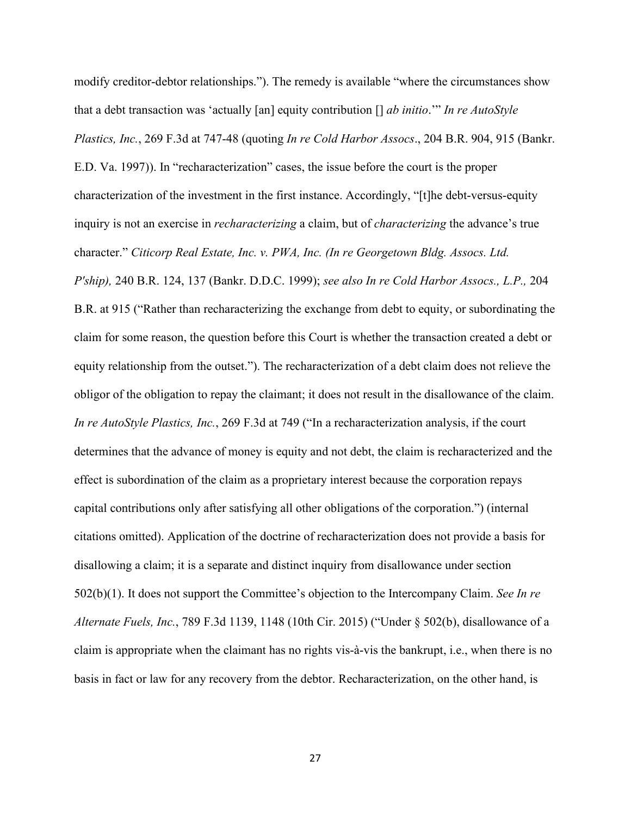modify creditor-debtor relationships."). The remedy is available "where the circumstances show that a debt transaction was 'actually [an] equity contribution [] *ab initio*.'" *In re AutoStyle Plastics, Inc.*, 269 F.3d at 747-48 (quoting *In re Cold Harbor Assocs*., 204 B.R. 904, 915 (Bankr. E.D. Va. 1997)). In "recharacterization" cases, the issue before the court is the proper characterization of the investment in the first instance. Accordingly, "[t]he debt-versus-equity inquiry is not an exercise in *recharacterizing* a claim, but of *characterizing* the advance's true character." *Citicorp Real Estate, Inc. v. PWA, Inc. (In re Georgetown Bldg. Assocs. Ltd. P'ship),* 240 B.R. 124, 137 (Bankr. D.D.C. 1999); *see also In re Cold Harbor Assocs., L.P.,* 204 B.R. at 915 ("Rather than recharacterizing the exchange from debt to equity, or subordinating the claim for some reason, the question before this Court is whether the transaction created a debt or equity relationship from the outset."). The recharacterization of a debt claim does not relieve the obligor of the obligation to repay the claimant; it does not result in the disallowance of the claim. *In re AutoStyle Plastics, Inc.*, 269 F.3d at 749 ("In a recharacterization analysis, if the court determines that the advance of money is equity and not debt, the claim is recharacterized and the effect is subordination of the claim as a proprietary interest because the corporation repays capital contributions only after satisfying all other obligations of the corporation.") (internal citations omitted). Application of the doctrine of recharacterization does not provide a basis for disallowing a claim; it is a separate and distinct inquiry from disallowance under section 502(b)(1). It does not support the Committee's objection to the Intercompany Claim. *See In re Alternate Fuels, Inc.*, 789 F.3d 1139, 1148 (10th Cir. 2015) ("Under § 502(b), disallowance of a claim is appropriate when the claimant has no rights vis-à-vis the bankrupt, i.e., when there is no basis in fact or law for any recovery from the debtor. Recharacterization, on the other hand, is

27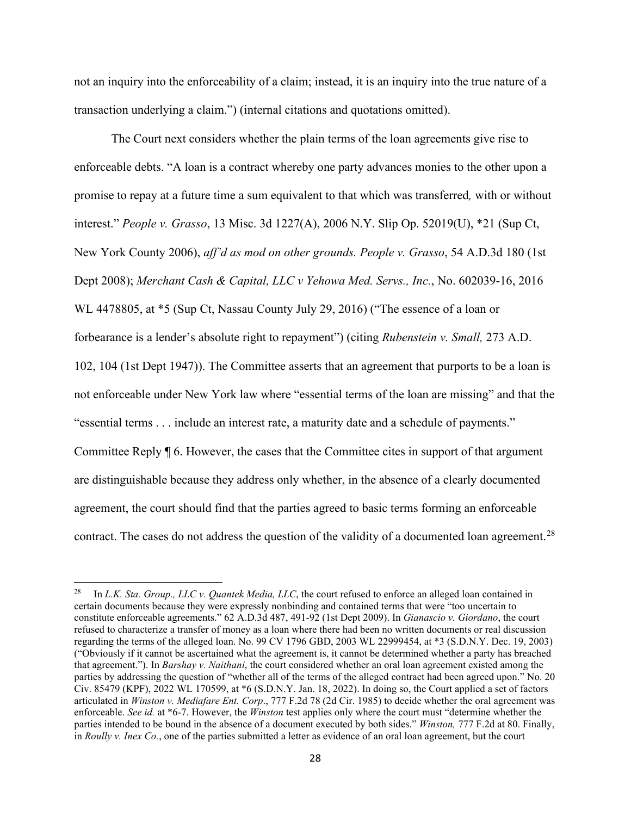not an inquiry into the enforceability of a claim; instead, it is an inquiry into the true nature of a transaction underlying a claim.") (internal citations and quotations omitted).

The Court next considers whether the plain terms of the loan agreements give rise to enforceable debts. "A loan is a contract whereby one party advances monies to the other upon a promise to repay at a future time a sum equivalent to that which was transferred*,* with or without interest." *People v. Grasso*, 13 Misc. 3d 1227(A), 2006 N.Y. Slip Op. 52019(U), \*21 (Sup Ct, New York County 2006), *aff'd as mod on other grounds. People v. Grasso*, 54 A.D.3d 180 (1st Dept 2008); *Merchant Cash & Capital, LLC v Yehowa Med. Servs., Inc.*, No. 602039-16, 2016 WL 4478805, at \*5 (Sup Ct, Nassau County July 29, 2016) ("The essence of a loan or forbearance is a lender's absolute right to repayment") (citing *Rubenstein v. Small,* 273 A.D. 102, 104 (1st Dept 1947)). The Committee asserts that an agreement that purports to be a loan is not enforceable under New York law where "essential terms of the loan are missing" and that the "essential terms . . . include an interest rate, a maturity date and a schedule of payments." Committee Reply ¶ 6. However, the cases that the Committee cites in support of that argument are distinguishable because they address only whether, in the absence of a clearly documented agreement, the court should find that the parties agreed to basic terms forming an enforceable contract. The cases do not address the question of the validity of a documented loan agreement.<sup>28</sup>

<sup>&</sup>lt;sup>28</sup> In *L.K. Sta. Group., LLC v. Quantek Media, LLC*, the court refused to enforce an alleged loan contained in certain documents because they were expressly nonbinding and contained terms that were "too uncertain to constitute enforceable agreements." 62 A.D.3d 487, 491-92 (1st Dept 2009). In *Gianascio v. Giordano*, the court refused to characterize a transfer of money as a loan where there had been no written documents or real discussion regarding the terms of the alleged loan. No. 99 CV 1796 GBD, 2003 WL 22999454, at \*3 (S.D.N.Y. Dec. 19, 2003) ("Obviously if it cannot be ascertained what the agreement is, it cannot be determined whether a party has breached that agreement."). In *Barshay v. Naithani*, the court considered whether an oral loan agreement existed among the parties by addressing the question of "whether all of the terms of the alleged contract had been agreed upon." No. 20 Civ. 85479 (KPF), 2022 WL 170599, at \*6 (S.D.N.Y. Jan. 18, 2022). In doing so, the Court applied a set of factors articulated in *Winston v. Mediafare Ent. Corp*., 777 F.2d 78 (2d Cir. 1985) to decide whether the oral agreement was enforceable. *See id.* at \*6-7. However, the *Winston* test applies only where the court must "determine whether the parties intended to be bound in the absence of a document executed by both sides." *Winston,* 777 F.2d at 80. Finally, in *Roully v. Inex Co.*, one of the parties submitted a letter as evidence of an oral loan agreement, but the court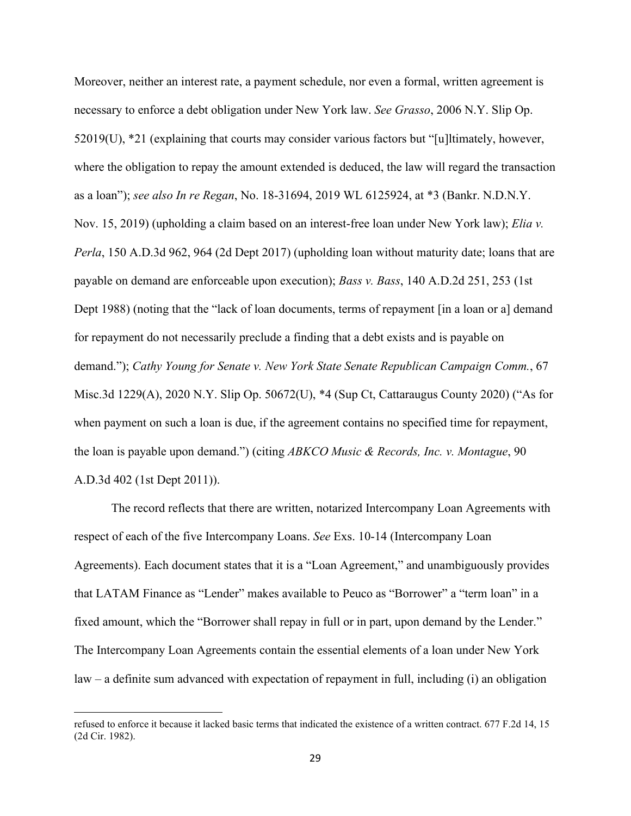Moreover, neither an interest rate, a payment schedule, nor even a formal, written agreement is necessary to enforce a debt obligation under New York law. *See Grasso*, 2006 N.Y. Slip Op. 52019(U), \*21 (explaining that courts may consider various factors but "[u]ltimately, however, where the obligation to repay the amount extended is deduced, the law will regard the transaction as a loan"); *see also In re Regan*, No. 18-31694, 2019 WL 6125924, at \*3 (Bankr. N.D.N.Y. Nov. 15, 2019) (upholding a claim based on an interest-free loan under New York law); *Elia v. Perla*, 150 A.D.3d 962, 964 (2d Dept 2017) (upholding loan without maturity date; loans that are payable on demand are enforceable upon execution); *Bass v. Bass*, 140 A.D.2d 251, 253 (1st Dept 1988) (noting that the "lack of loan documents, terms of repayment [in a loan or a] demand for repayment do not necessarily preclude a finding that a debt exists and is payable on demand."); *Cathy Young for Senate v. New York State Senate Republican Campaign Comm.*, 67 Misc.3d 1229(A), 2020 N.Y. Slip Op. 50672(U), \*4 (Sup Ct, Cattaraugus County 2020) ("As for when payment on such a loan is due, if the agreement contains no specified time for repayment, the loan is payable upon demand.") (citing *ABKCO Music & Records, Inc. v. Montague*, 90 A.D.3d 402 (1st Dept 2011)).

The record reflects that there are written, notarized Intercompany Loan Agreements with respect of each of the five Intercompany Loans. *See* Exs. 10-14 (Intercompany Loan Agreements). Each document states that it is a "Loan Agreement," and unambiguously provides that LATAM Finance as "Lender" makes available to Peuco as "Borrower" a "term loan" in a fixed amount, which the "Borrower shall repay in full or in part, upon demand by the Lender." The Intercompany Loan Agreements contain the essential elements of a loan under New York law – a definite sum advanced with expectation of repayment in full, including (i) an obligation

refused to enforce it because it lacked basic terms that indicated the existence of a written contract. 677 F.2d 14, 15 (2d Cir. 1982).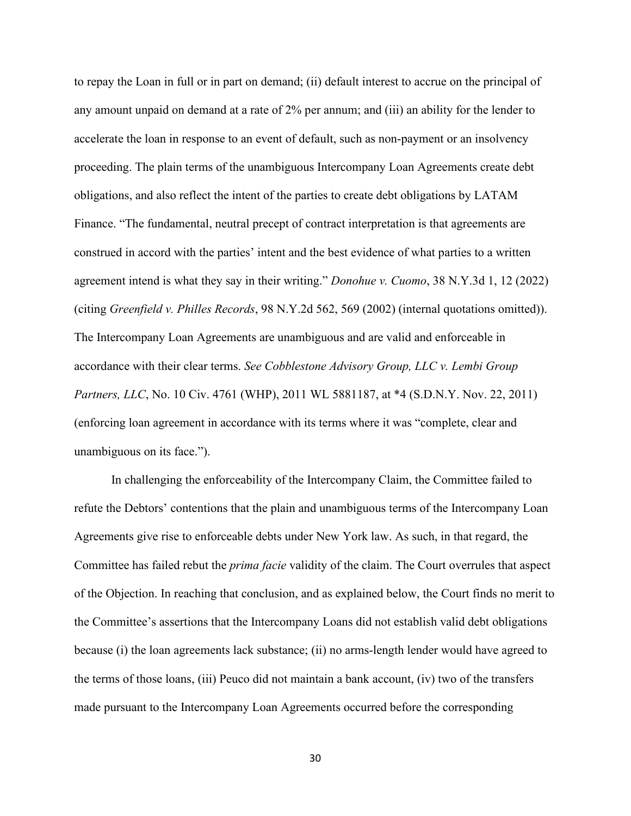to repay the Loan in full or in part on demand; (ii) default interest to accrue on the principal of any amount unpaid on demand at a rate of 2% per annum; and (iii) an ability for the lender to accelerate the loan in response to an event of default, such as non-payment or an insolvency proceeding. The plain terms of the unambiguous Intercompany Loan Agreements create debt obligations, and also reflect the intent of the parties to create debt obligations by LATAM Finance. "The fundamental, neutral precept of contract interpretation is that agreements are construed in accord with the parties' intent and the best evidence of what parties to a written agreement intend is what they say in their writing." *Donohue v. Cuomo*, 38 N.Y.3d 1, 12 (2022) (citing *Greenfield v. Philles Records*, 98 N.Y.2d 562, 569 (2002) (internal quotations omitted)). The Intercompany Loan Agreements are unambiguous and are valid and enforceable in accordance with their clear terms. *See Cobblestone Advisory Group, LLC v. Lembi Group Partners, LLC*, No. 10 Civ. 4761 (WHP), 2011 WL 5881187, at \*4 (S.D.N.Y. Nov. 22, 2011) (enforcing loan agreement in accordance with its terms where it was "complete, clear and unambiguous on its face.").

In challenging the enforceability of the Intercompany Claim, the Committee failed to refute the Debtors' contentions that the plain and unambiguous terms of the Intercompany Loan Agreements give rise to enforceable debts under New York law. As such, in that regard, the Committee has failed rebut the *prima facie* validity of the claim. The Court overrules that aspect of the Objection. In reaching that conclusion, and as explained below, the Court finds no merit to the Committee's assertions that the Intercompany Loans did not establish valid debt obligations because (i) the loan agreements lack substance; (ii) no arms-length lender would have agreed to the terms of those loans, (iii) Peuco did not maintain a bank account, (iv) two of the transfers made pursuant to the Intercompany Loan Agreements occurred before the corresponding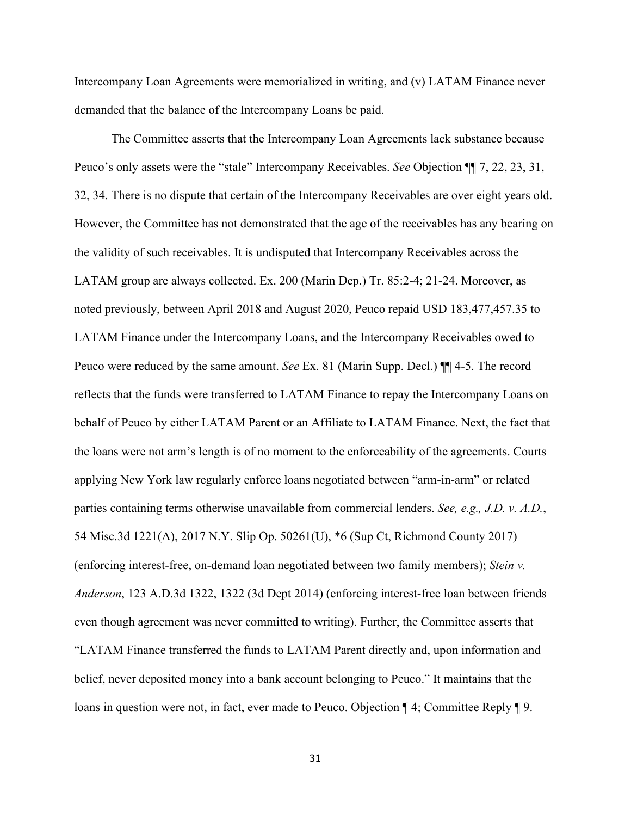Intercompany Loan Agreements were memorialized in writing, and (v) LATAM Finance never demanded that the balance of the Intercompany Loans be paid.

The Committee asserts that the Intercompany Loan Agreements lack substance because Peuco's only assets were the "stale" Intercompany Receivables. *See* Objection ¶¶ 7, 22, 23, 31, 32, 34. There is no dispute that certain of the Intercompany Receivables are over eight years old. However, the Committee has not demonstrated that the age of the receivables has any bearing on the validity of such receivables. It is undisputed that Intercompany Receivables across the LATAM group are always collected. Ex. 200 (Marin Dep.) Tr. 85:2-4; 21-24. Moreover, as noted previously, between April 2018 and August 2020, Peuco repaid USD 183,477,457.35 to LATAM Finance under the Intercompany Loans, and the Intercompany Receivables owed to Peuco were reduced by the same amount. *See* Ex. 81 (Marin Supp. Decl.) ¶¶ 4-5. The record reflects that the funds were transferred to LATAM Finance to repay the Intercompany Loans on behalf of Peuco by either LATAM Parent or an Affiliate to LATAM Finance. Next, the fact that the loans were not arm's length is of no moment to the enforceability of the agreements. Courts applying New York law regularly enforce loans negotiated between "arm-in-arm" or related parties containing terms otherwise unavailable from commercial lenders. *See, e.g., J.D. v. A.D.*, 54 Misc.3d 1221(A), 2017 N.Y. Slip Op. 50261(U), \*6 (Sup Ct, Richmond County 2017) (enforcing interest-free, on-demand loan negotiated between two family members); *Stein v. Anderson*, 123 A.D.3d 1322, 1322 (3d Dept 2014) (enforcing interest-free loan between friends even though agreement was never committed to writing). Further, the Committee asserts that "LATAM Finance transferred the funds to LATAM Parent directly and, upon information and belief, never deposited money into a bank account belonging to Peuco." It maintains that the loans in question were not, in fact, ever made to Peuco. Objection ¶ 4; Committee Reply ¶ 9.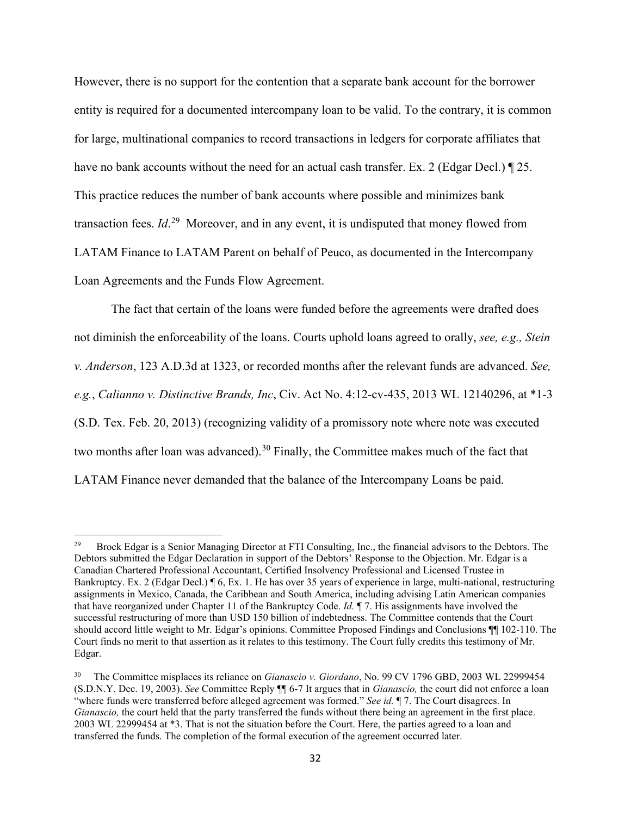However, there is no support for the contention that a separate bank account for the borrower entity is required for a documented intercompany loan to be valid. To the contrary, it is common for large, multinational companies to record transactions in ledgers for corporate affiliates that have no bank accounts without the need for an actual cash transfer. Ex. 2 (Edgar Decl.)  $\parallel$  25. This practice reduces the number of bank accounts where possible and minimizes bank transaction fees. *Id*. 29 Moreover, and in any event, it is undisputed that money flowed from LATAM Finance to LATAM Parent on behalf of Peuco, as documented in the Intercompany Loan Agreements and the Funds Flow Agreement.

The fact that certain of the loans were funded before the agreements were drafted does not diminish the enforceability of the loans. Courts uphold loans agreed to orally, *see, e.g., Stein v. Anderson*, 123 A.D.3d at 1323, or recorded months after the relevant funds are advanced. *See, e.g.*, *Calianno v. Distinctive Brands, Inc*, Civ. Act No. 4:12-cv-435, 2013 WL 12140296, at \*1-3 (S.D. Tex. Feb. 20, 2013) (recognizing validity of a promissory note where note was executed two months after loan was advanced).<sup>30</sup> Finally, the Committee makes much of the fact that LATAM Finance never demanded that the balance of the Intercompany Loans be paid.

<sup>29</sup> Brock Edgar is a Senior Managing Director at FTI Consulting, Inc., the financial advisors to the Debtors. The Debtors submitted the Edgar Declaration in support of the Debtors' Response to the Objection. Mr. Edgar is a Canadian Chartered Professional Accountant, Certified Insolvency Professional and Licensed Trustee in Bankruptcy. Ex. 2 (Edgar Decl.) ¶ 6, Ex. 1. He has over 35 years of experience in large, multi-national, restructuring assignments in Mexico, Canada, the Caribbean and South America, including advising Latin American companies that have reorganized under Chapter 11 of the Bankruptcy Code. *Id.* ¶ 7. His assignments have involved the successful restructuring of more than USD 150 billion of indebtedness. The Committee contends that the Court should accord little weight to Mr. Edgar's opinions. Committee Proposed Findings and Conclusions ¶¶ 102-110. The Court finds no merit to that assertion as it relates to this testimony. The Court fully credits this testimony of Mr. Edgar.

<sup>30</sup> The Committee misplaces its reliance on *Gianascio v. Giordano*, No. 99 CV 1796 GBD, 2003 WL 22999454 (S.D.N.Y. Dec. 19, 2003). *See* Committee Reply ¶¶ 6-7 It argues that in *Gianascio,* the court did not enforce a loan "where funds were transferred before alleged agreement was formed." *See id.* ¶ 7. The Court disagrees. In *Gianascio,* the court held that the party transferred the funds without there being an agreement in the first place. 2003 WL 22999454 at \*3. That is not the situation before the Court. Here, the parties agreed to a loan and transferred the funds. The completion of the formal execution of the agreement occurred later.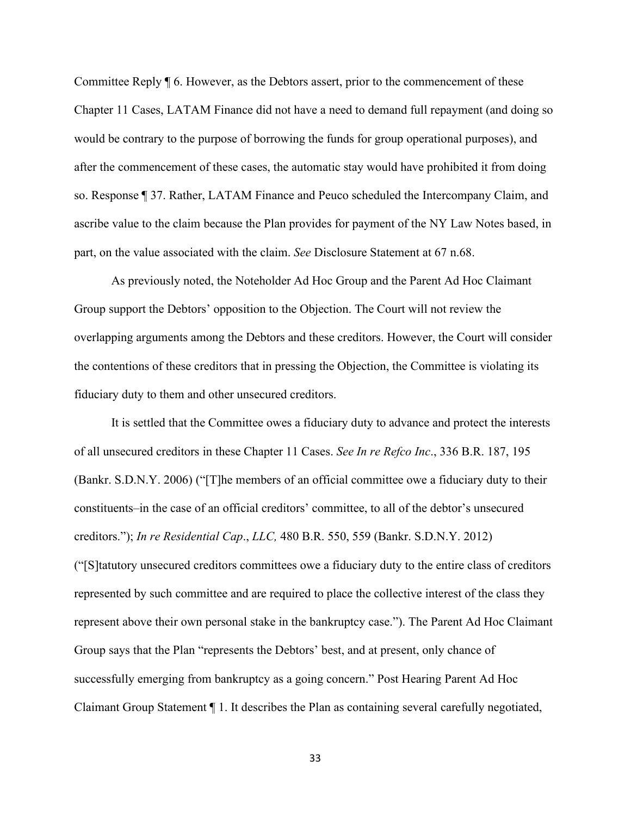Committee Reply ¶ 6. However, as the Debtors assert, prior to the commencement of these Chapter 11 Cases, LATAM Finance did not have a need to demand full repayment (and doing so would be contrary to the purpose of borrowing the funds for group operational purposes), and after the commencement of these cases, the automatic stay would have prohibited it from doing so. Response ¶ 37. Rather, LATAM Finance and Peuco scheduled the Intercompany Claim, and ascribe value to the claim because the Plan provides for payment of the NY Law Notes based, in part, on the value associated with the claim. *See* Disclosure Statement at 67 n.68.

As previously noted, the Noteholder Ad Hoc Group and the Parent Ad Hoc Claimant Group support the Debtors' opposition to the Objection. The Court will not review the overlapping arguments among the Debtors and these creditors. However, the Court will consider the contentions of these creditors that in pressing the Objection, the Committee is violating its fiduciary duty to them and other unsecured creditors.

It is settled that the Committee owes a fiduciary duty to advance and protect the interests of all unsecured creditors in these Chapter 11 Cases. *See In re Refco Inc*., 336 B.R. 187, 195 (Bankr. S.D.N.Y. 2006) ("[T]he members of an official committee owe a fiduciary duty to their constituents–in the case of an official creditors' committee, to all of the debtor's unsecured creditors."); *In re Residential Cap*., *LLC,* 480 B.R. 550, 559 (Bankr. S.D.N.Y. 2012) ("[S]tatutory unsecured creditors committees owe a fiduciary duty to the entire class of creditors represented by such committee and are required to place the collective interest of the class they represent above their own personal stake in the bankruptcy case."). The Parent Ad Hoc Claimant Group says that the Plan "represents the Debtors' best, and at present, only chance of successfully emerging from bankruptcy as a going concern." Post Hearing Parent Ad Hoc Claimant Group Statement ¶ 1. It describes the Plan as containing several carefully negotiated,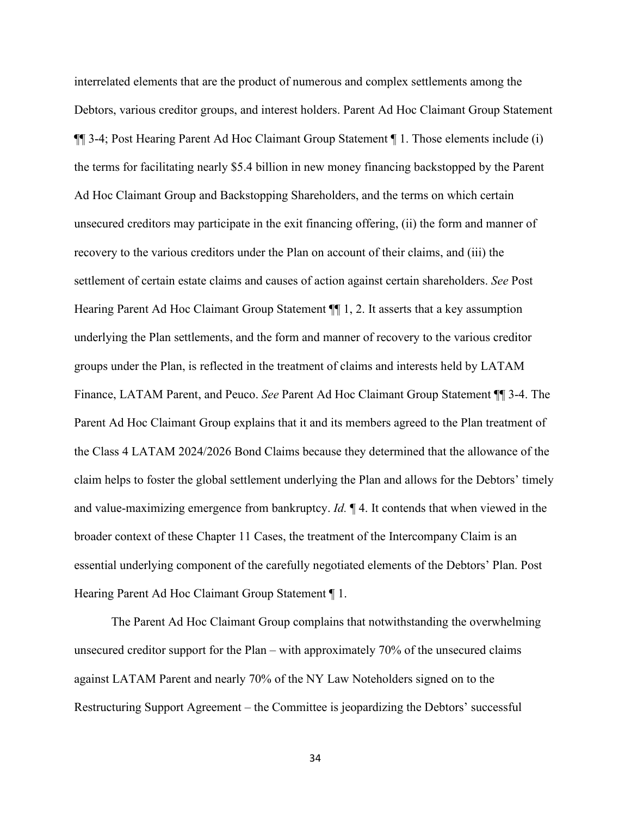interrelated elements that are the product of numerous and complex settlements among the Debtors, various creditor groups, and interest holders. Parent Ad Hoc Claimant Group Statement ¶¶ 3-4; Post Hearing Parent Ad Hoc Claimant Group Statement ¶ 1. Those elements include (i) the terms for facilitating nearly \$5.4 billion in new money financing backstopped by the Parent Ad Hoc Claimant Group and Backstopping Shareholders, and the terms on which certain unsecured creditors may participate in the exit financing offering, (ii) the form and manner of recovery to the various creditors under the Plan on account of their claims, and (iii) the settlement of certain estate claims and causes of action against certain shareholders. *See* Post Hearing Parent Ad Hoc Claimant Group Statement ¶¶ 1, 2. It asserts that a key assumption underlying the Plan settlements, and the form and manner of recovery to the various creditor groups under the Plan, is reflected in the treatment of claims and interests held by LATAM Finance, LATAM Parent, and Peuco. *See* Parent Ad Hoc Claimant Group Statement ¶¶ 3-4. The Parent Ad Hoc Claimant Group explains that it and its members agreed to the Plan treatment of the Class 4 LATAM 2024/2026 Bond Claims because they determined that the allowance of the claim helps to foster the global settlement underlying the Plan and allows for the Debtors' timely and value-maximizing emergence from bankruptcy. *Id.* ¶ 4. It contends that when viewed in the broader context of these Chapter 11 Cases, the treatment of the Intercompany Claim is an essential underlying component of the carefully negotiated elements of the Debtors' Plan. Post Hearing Parent Ad Hoc Claimant Group Statement ¶ 1.

The Parent Ad Hoc Claimant Group complains that notwithstanding the overwhelming unsecured creditor support for the Plan – with approximately 70% of the unsecured claims against LATAM Parent and nearly 70% of the NY Law Noteholders signed on to the Restructuring Support Agreement – the Committee is jeopardizing the Debtors' successful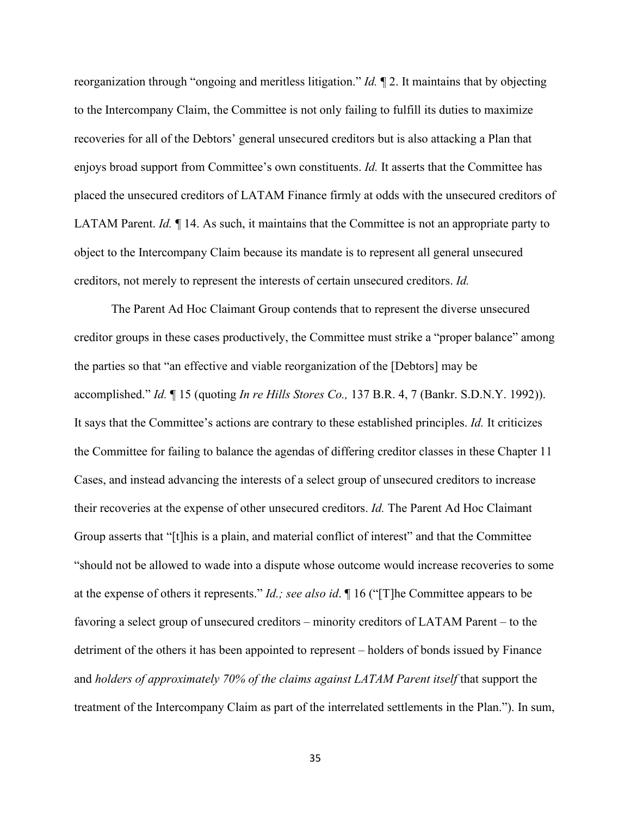reorganization through "ongoing and meritless litigation." *Id.* ¶ 2. It maintains that by objecting to the Intercompany Claim, the Committee is not only failing to fulfill its duties to maximize recoveries for all of the Debtors' general unsecured creditors but is also attacking a Plan that enjoys broad support from Committee's own constituents. *Id.* It asserts that the Committee has placed the unsecured creditors of LATAM Finance firmly at odds with the unsecured creditors of LATAM Parent. *Id.* ¶ 14. As such, it maintains that the Committee is not an appropriate party to object to the Intercompany Claim because its mandate is to represent all general unsecured creditors, not merely to represent the interests of certain unsecured creditors. *Id.* 

The Parent Ad Hoc Claimant Group contends that to represent the diverse unsecured creditor groups in these cases productively, the Committee must strike a "proper balance" among the parties so that "an effective and viable reorganization of the [Debtors] may be accomplished." *Id.* ¶ 15 (quoting *In re Hills Stores Co.,* 137 B.R. 4, 7 (Bankr. S.D.N.Y. 1992)). It says that the Committee's actions are contrary to these established principles. *Id.* It criticizes the Committee for failing to balance the agendas of differing creditor classes in these Chapter 11 Cases, and instead advancing the interests of a select group of unsecured creditors to increase their recoveries at the expense of other unsecured creditors. *Id.* The Parent Ad Hoc Claimant Group asserts that "[t]his is a plain, and material conflict of interest" and that the Committee "should not be allowed to wade into a dispute whose outcome would increase recoveries to some at the expense of others it represents." *Id.; see also id*. ¶ 16 ("[T]he Committee appears to be favoring a select group of unsecured creditors – minority creditors of LATAM Parent – to the detriment of the others it has been appointed to represent – holders of bonds issued by Finance and *holders of approximately 70% of the claims against LATAM Parent itself* that support the treatment of the Intercompany Claim as part of the interrelated settlements in the Plan."). In sum,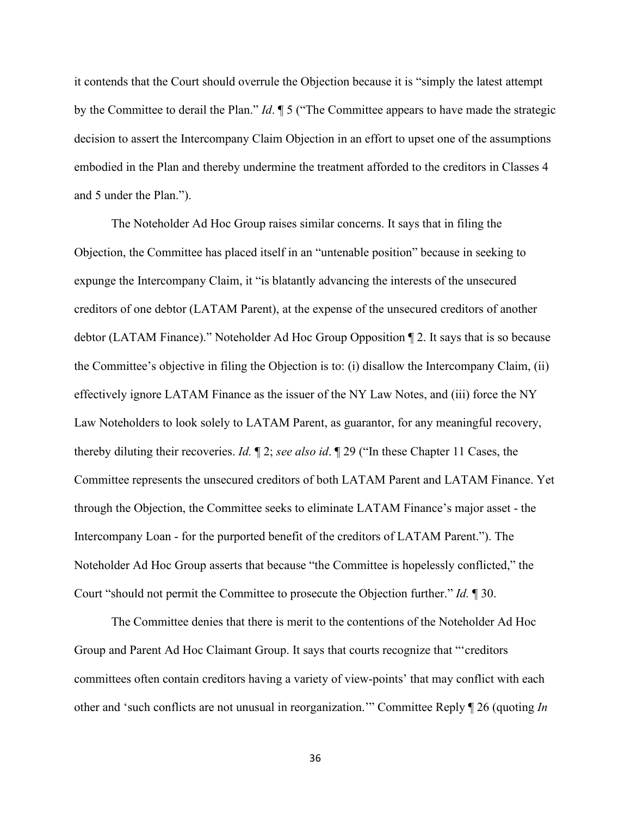it contends that the Court should overrule the Objection because it is "simply the latest attempt by the Committee to derail the Plan." *Id*. ¶ 5 ("The Committee appears to have made the strategic decision to assert the Intercompany Claim Objection in an effort to upset one of the assumptions embodied in the Plan and thereby undermine the treatment afforded to the creditors in Classes 4 and 5 under the Plan.").

The Noteholder Ad Hoc Group raises similar concerns. It says that in filing the Objection, the Committee has placed itself in an "untenable position" because in seeking to expunge the Intercompany Claim, it "is blatantly advancing the interests of the unsecured creditors of one debtor (LATAM Parent), at the expense of the unsecured creditors of another debtor (LATAM Finance)." Noteholder Ad Hoc Group Opposition ¶ 2. It says that is so because the Committee's objective in filing the Objection is to: (i) disallow the Intercompany Claim, (ii) effectively ignore LATAM Finance as the issuer of the NY Law Notes, and (iii) force the NY Law Noteholders to look solely to LATAM Parent, as guarantor, for any meaningful recovery, thereby diluting their recoveries. *Id.* ¶ 2; *see also id*. ¶ 29 ("In these Chapter 11 Cases, the Committee represents the unsecured creditors of both LATAM Parent and LATAM Finance. Yet through the Objection, the Committee seeks to eliminate LATAM Finance's major asset - the Intercompany Loan - for the purported benefit of the creditors of LATAM Parent."). The Noteholder Ad Hoc Group asserts that because "the Committee is hopelessly conflicted," the Court "should not permit the Committee to prosecute the Objection further." *Id.* ¶ 30.

The Committee denies that there is merit to the contentions of the Noteholder Ad Hoc Group and Parent Ad Hoc Claimant Group. It says that courts recognize that "'creditors committees often contain creditors having a variety of view-points' that may conflict with each other and 'such conflicts are not unusual in reorganization.'" Committee Reply ¶ 26 (quoting *In* 

36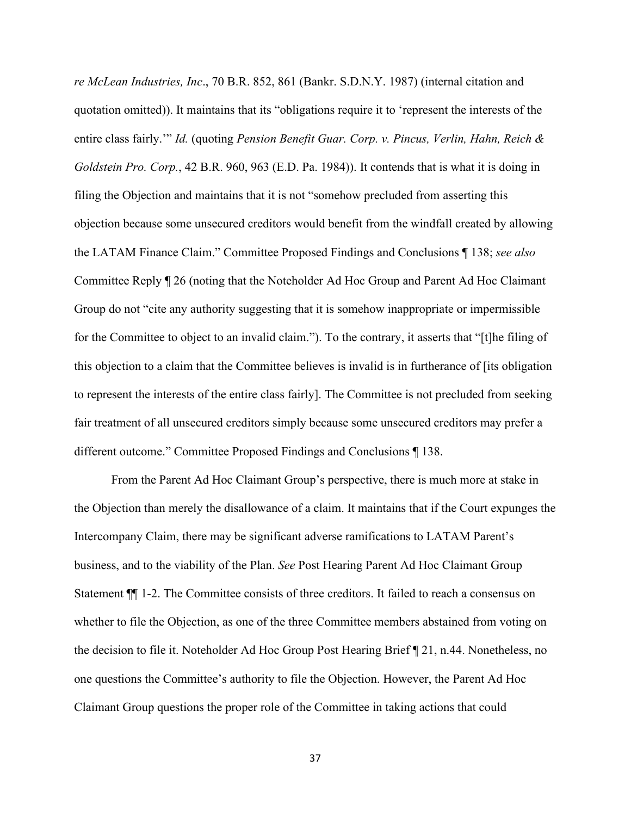*re McLean Industries, Inc*., 70 B.R. 852, 861 (Bankr. S.D.N.Y. 1987) (internal citation and quotation omitted)). It maintains that its "obligations require it to 'represent the interests of the entire class fairly.'" *Id.* (quoting *Pension Benefit Guar. Corp. v. Pincus, Verlin, Hahn, Reich & Goldstein Pro. Corp.*, 42 B.R. 960, 963 (E.D. Pa. 1984)). It contends that is what it is doing in filing the Objection and maintains that it is not "somehow precluded from asserting this objection because some unsecured creditors would benefit from the windfall created by allowing the LATAM Finance Claim." Committee Proposed Findings and Conclusions ¶ 138; *see also* Committee Reply ¶ 26 (noting that the Noteholder Ad Hoc Group and Parent Ad Hoc Claimant Group do not "cite any authority suggesting that it is somehow inappropriate or impermissible for the Committee to object to an invalid claim."). To the contrary, it asserts that "[t]he filing of this objection to a claim that the Committee believes is invalid is in furtherance of [its obligation to represent the interests of the entire class fairly]. The Committee is not precluded from seeking fair treatment of all unsecured creditors simply because some unsecured creditors may prefer a different outcome." Committee Proposed Findings and Conclusions ¶ 138.

From the Parent Ad Hoc Claimant Group's perspective, there is much more at stake in the Objection than merely the disallowance of a claim. It maintains that if the Court expunges the Intercompany Claim, there may be significant adverse ramifications to LATAM Parent's business, and to the viability of the Plan. *See* Post Hearing Parent Ad Hoc Claimant Group Statement ¶¶ 1-2. The Committee consists of three creditors. It failed to reach a consensus on whether to file the Objection, as one of the three Committee members abstained from voting on the decision to file it. Noteholder Ad Hoc Group Post Hearing Brief ¶ 21, n.44. Nonetheless, no one questions the Committee's authority to file the Objection. However, the Parent Ad Hoc Claimant Group questions the proper role of the Committee in taking actions that could

37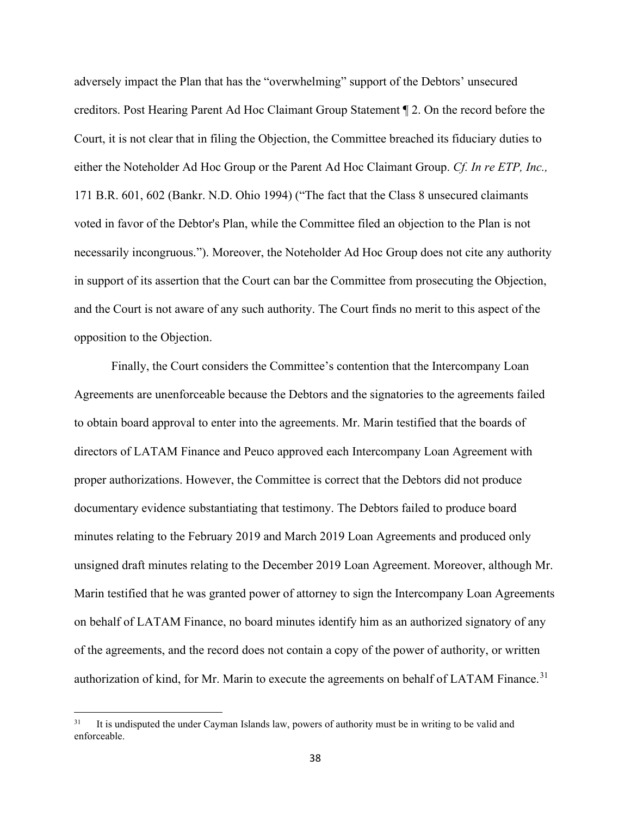adversely impact the Plan that has the "overwhelming" support of the Debtors' unsecured creditors. Post Hearing Parent Ad Hoc Claimant Group Statement ¶ 2. On the record before the Court, it is not clear that in filing the Objection, the Committee breached its fiduciary duties to either the Noteholder Ad Hoc Group or the Parent Ad Hoc Claimant Group. *Cf. In re ETP, Inc.,* 171 B.R. 601, 602 (Bankr. N.D. Ohio 1994) ("The fact that the Class 8 unsecured claimants voted in favor of the Debtor's Plan, while the Committee filed an objection to the Plan is not necessarily incongruous."). Moreover, the Noteholder Ad Hoc Group does not cite any authority in support of its assertion that the Court can bar the Committee from prosecuting the Objection, and the Court is not aware of any such authority. The Court finds no merit to this aspect of the opposition to the Objection.

Finally, the Court considers the Committee's contention that the Intercompany Loan Agreements are unenforceable because the Debtors and the signatories to the agreements failed to obtain board approval to enter into the agreements. Mr. Marin testified that the boards of directors of LATAM Finance and Peuco approved each Intercompany Loan Agreement with proper authorizations. However, the Committee is correct that the Debtors did not produce documentary evidence substantiating that testimony. The Debtors failed to produce board minutes relating to the February 2019 and March 2019 Loan Agreements and produced only unsigned draft minutes relating to the December 2019 Loan Agreement. Moreover, although Mr. Marin testified that he was granted power of attorney to sign the Intercompany Loan Agreements on behalf of LATAM Finance, no board minutes identify him as an authorized signatory of any of the agreements, and the record does not contain a copy of the power of authority, or written authorization of kind, for Mr. Marin to execute the agreements on behalf of LATAM Finance.<sup>31</sup>

It is undisputed the under Cayman Islands law, powers of authority must be in writing to be valid and enforceable.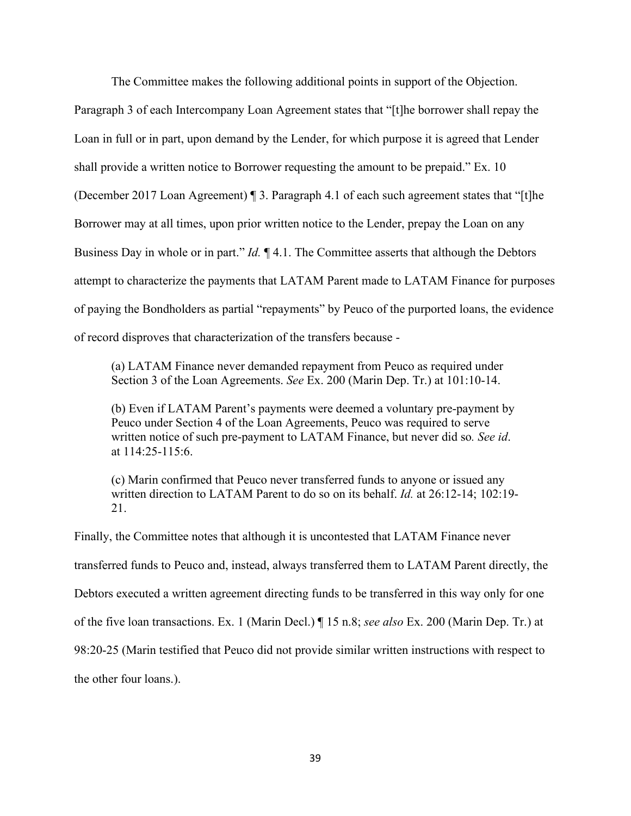The Committee makes the following additional points in support of the Objection.

Paragraph 3 of each Intercompany Loan Agreement states that "[t]he borrower shall repay the Loan in full or in part, upon demand by the Lender, for which purpose it is agreed that Lender shall provide a written notice to Borrower requesting the amount to be prepaid." Ex. 10 (December 2017 Loan Agreement) ¶ 3. Paragraph 4.1 of each such agreement states that "[t]he Borrower may at all times, upon prior written notice to the Lender, prepay the Loan on any Business Day in whole or in part." *Id.* ¶ 4.1. The Committee asserts that although the Debtors attempt to characterize the payments that LATAM Parent made to LATAM Finance for purposes of paying the Bondholders as partial "repayments" by Peuco of the purported loans, the evidence of record disproves that characterization of the transfers because -

(a) LATAM Finance never demanded repayment from Peuco as required under Section 3 of the Loan Agreements. *See* Ex. 200 (Marin Dep. Tr.) at 101:10-14.

(b) Even if LATAM Parent's payments were deemed a voluntary pre-payment by Peuco under Section 4 of the Loan Agreements, Peuco was required to serve written notice of such pre-payment to LATAM Finance, but never did so*. See id*. at 114:25-115:6.

(c) Marin confirmed that Peuco never transferred funds to anyone or issued any written direction to LATAM Parent to do so on its behalf. *Id.* at 26:12-14; 102:19- 21.

Finally, the Committee notes that although it is uncontested that LATAM Finance never transferred funds to Peuco and, instead, always transferred them to LATAM Parent directly, the Debtors executed a written agreement directing funds to be transferred in this way only for one of the five loan transactions. Ex. 1 (Marin Decl.) ¶ 15 n.8; *see also* Ex. 200 (Marin Dep. Tr.) at 98:20-25 (Marin testified that Peuco did not provide similar written instructions with respect to the other four loans.).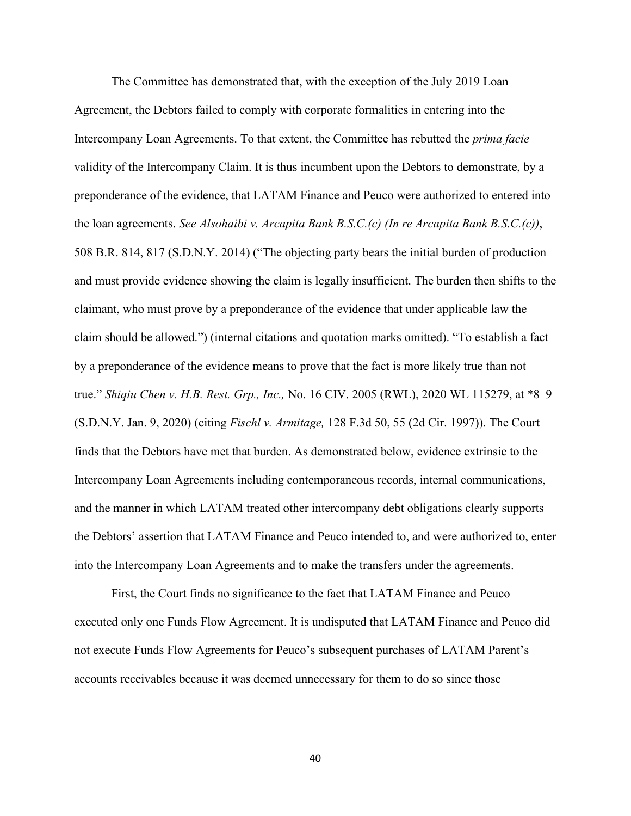The Committee has demonstrated that, with the exception of the July 2019 Loan Agreement, the Debtors failed to comply with corporate formalities in entering into the Intercompany Loan Agreements. To that extent, the Committee has rebutted the *prima facie* validity of the Intercompany Claim. It is thus incumbent upon the Debtors to demonstrate, by a preponderance of the evidence, that LATAM Finance and Peuco were authorized to entered into the loan agreements. *See Alsohaibi v. Arcapita Bank B.S.C.(c) (In re Arcapita Bank B.S.C.(c))*, 508 B.R. 814, 817 (S.D.N.Y. 2014) ("The objecting party bears the initial burden of production and must provide evidence showing the claim is legally insufficient. The burden then shifts to the claimant, who must prove by a preponderance of the evidence that under applicable law the claim should be allowed.") (internal citations and quotation marks omitted). "To establish a fact by a preponderance of the evidence means to prove that the fact is more likely true than not true." *Shiqiu Chen v. H.B. Rest. Grp., Inc.,* No. 16 CIV. 2005 (RWL), 2020 WL 115279, at \*8–9 (S.D.N.Y. Jan. 9, 2020) (citing *Fischl v. Armitage,* 128 F.3d 50, 55 (2d Cir. 1997)). The Court finds that the Debtors have met that burden. As demonstrated below, evidence extrinsic to the Intercompany Loan Agreements including contemporaneous records, internal communications, and the manner in which LATAM treated other intercompany debt obligations clearly supports the Debtors' assertion that LATAM Finance and Peuco intended to, and were authorized to, enter into the Intercompany Loan Agreements and to make the transfers under the agreements.

First, the Court finds no significance to the fact that LATAM Finance and Peuco executed only one Funds Flow Agreement. It is undisputed that LATAM Finance and Peuco did not execute Funds Flow Agreements for Peuco's subsequent purchases of LATAM Parent's accounts receivables because it was deemed unnecessary for them to do so since those

40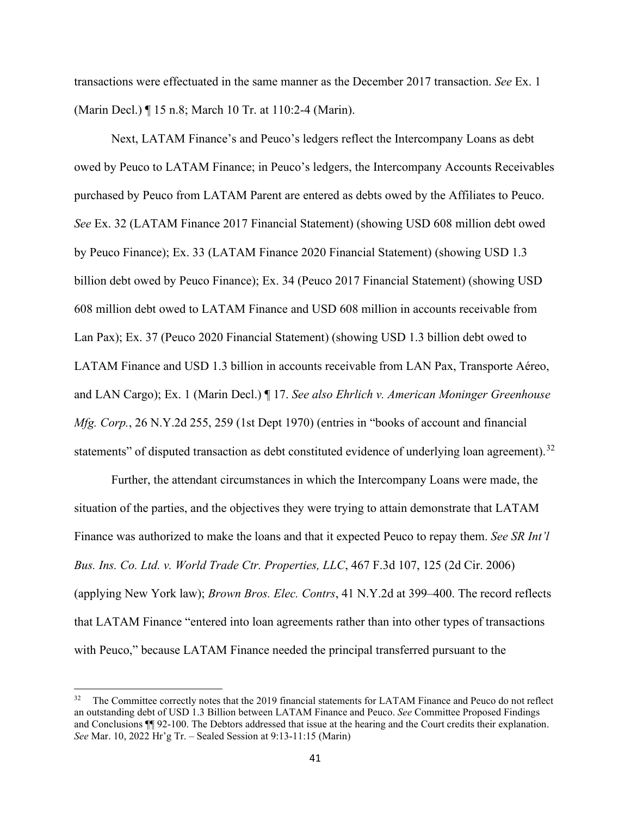transactions were effectuated in the same manner as the December 2017 transaction. *See* Ex. 1 (Marin Decl.) ¶ 15 n.8; March 10 Tr. at 110:2-4 (Marin).

Next, LATAM Finance's and Peuco's ledgers reflect the Intercompany Loans as debt owed by Peuco to LATAM Finance; in Peuco's ledgers, the Intercompany Accounts Receivables purchased by Peuco from LATAM Parent are entered as debts owed by the Affiliates to Peuco. *See* Ex. 32 (LATAM Finance 2017 Financial Statement) (showing USD 608 million debt owed by Peuco Finance); Ex. 33 (LATAM Finance 2020 Financial Statement) (showing USD 1.3 billion debt owed by Peuco Finance); Ex. 34 (Peuco 2017 Financial Statement) (showing USD 608 million debt owed to LATAM Finance and USD 608 million in accounts receivable from Lan Pax); Ex. 37 (Peuco 2020 Financial Statement) (showing USD 1.3 billion debt owed to LATAM Finance and USD 1.3 billion in accounts receivable from LAN Pax, Transporte Aéreo, and LAN Cargo); Ex. 1 (Marin Decl.) ¶ 17. *See also Ehrlich v. American Moninger Greenhouse Mfg. Corp.*, 26 N.Y.2d 255, 259 (1st Dept 1970) (entries in "books of account and financial statements" of disputed transaction as debt constituted evidence of underlying loan agreement).<sup>32</sup>

Further, the attendant circumstances in which the Intercompany Loans were made, the situation of the parties, and the objectives they were trying to attain demonstrate that LATAM Finance was authorized to make the loans and that it expected Peuco to repay them. *See SR Int'l Bus. Ins. Co. Ltd. v. World Trade Ctr. Properties, LLC*, 467 F.3d 107, 125 (2d Cir. 2006) (applying New York law); *Brown Bros. Elec. Contrs*, 41 N.Y.2d at 399–400. The record reflects that LATAM Finance "entered into loan agreements rather than into other types of transactions with Peuco," because LATAM Finance needed the principal transferred pursuant to the

<sup>&</sup>lt;sup>32</sup> The Committee correctly notes that the 2019 financial statements for LATAM Finance and Peuco do not reflect an outstanding debt of USD 1.3 Billion between LATAM Finance and Peuco. *See* Committee Proposed Findings and Conclusions ¶¶ 92-100. The Debtors addressed that issue at the hearing and the Court credits their explanation. *See* Mar. 10, 2022 Hr'g Tr. – Sealed Session at 9:13-11:15 (Marin)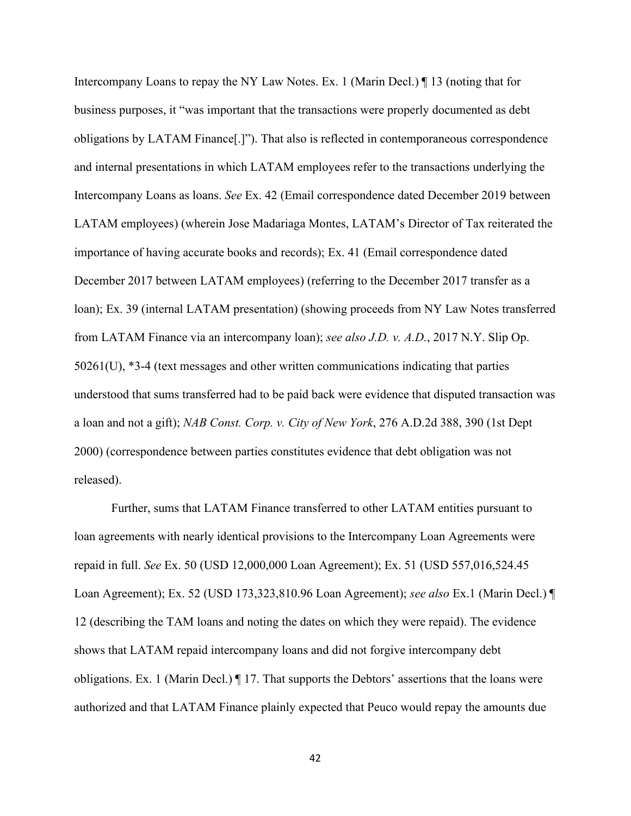Intercompany Loans to repay the NY Law Notes. Ex. 1 (Marin Decl.) If 13 (noting that for business purposes, it "was important that the transactions were properly documented as debt obligations by LATAM Finance[.]"). That also is reflected in contemporaneous correspondence and internal presentations in which LATAM employees refer to the transactions underlying the Intercompany Loans as loans. *See* Ex. 42 (Email correspondence dated December 2019 between LATAM employees) (wherein Jose Madariaga Montes, LATAM's Director of Tax reiterated the importance of having accurate books and records); Ex. 41 (Email correspondence dated December 2017 between LATAM employees) (referring to the December 2017 transfer as a loan); Ex. 39 (internal LATAM presentation) (showing proceeds from NY Law Notes transferred from LATAM Finance via an intercompany loan); *see also J.D. v. A.D.*, 2017 N.Y. Slip Op. 50261(U), \*3-4 (text messages and other written communications indicating that parties understood that sums transferred had to be paid back were evidence that disputed transaction was a loan and not a gift); *NAB Const. Corp. v. City of New York*, 276 A.D.2d 388, 390 (1st Dept 2000) (correspondence between parties constitutes evidence that debt obligation was not released).

Further, sums that LATAM Finance transferred to other LATAM entities pursuant to loan agreements with nearly identical provisions to the Intercompany Loan Agreements were repaid in full. *See* Ex. 50 (USD 12,000,000 Loan Agreement); Ex. 51 (USD 557,016,524.45 Loan Agreement); Ex. 52 (USD 173,323,810.96 Loan Agreement); *see also* Ex.1 (Marin Decl.) ¶ 12 (describing the TAM loans and noting the dates on which they were repaid). The evidence shows that LATAM repaid intercompany loans and did not forgive intercompany debt obligations. Ex. 1 (Marin Decl.) ¶ 17. That supports the Debtors' assertions that the loans were authorized and that LATAM Finance plainly expected that Peuco would repay the amounts due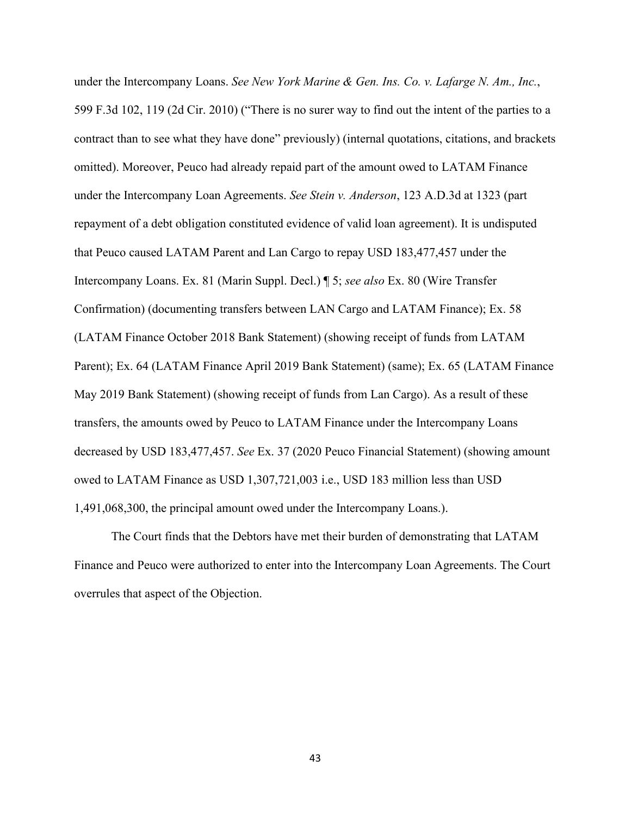under the Intercompany Loans. *See New York Marine & Gen. Ins. Co. v. Lafarge N. Am., Inc.*, 599 F.3d 102, 119 (2d Cir. 2010) ("There is no surer way to find out the intent of the parties to a contract than to see what they have done" previously) (internal quotations, citations, and brackets omitted). Moreover, Peuco had already repaid part of the amount owed to LATAM Finance under the Intercompany Loan Agreements. *See Stein v. Anderson*, 123 A.D.3d at 1323 (part repayment of a debt obligation constituted evidence of valid loan agreement). It is undisputed that Peuco caused LATAM Parent and Lan Cargo to repay USD 183,477,457 under the Intercompany Loans. Ex. 81 (Marin Suppl. Decl.) ¶ 5; *see also* Ex. 80 (Wire Transfer Confirmation) (documenting transfers between LAN Cargo and LATAM Finance); Ex. 58 (LATAM Finance October 2018 Bank Statement) (showing receipt of funds from LATAM Parent); Ex. 64 (LATAM Finance April 2019 Bank Statement) (same); Ex. 65 (LATAM Finance May 2019 Bank Statement) (showing receipt of funds from Lan Cargo). As a result of these transfers, the amounts owed by Peuco to LATAM Finance under the Intercompany Loans decreased by USD 183,477,457. *See* Ex. 37 (2020 Peuco Financial Statement) (showing amount owed to LATAM Finance as USD 1,307,721,003 i.e., USD 183 million less than USD 1,491,068,300, the principal amount owed under the Intercompany Loans.).

The Court finds that the Debtors have met their burden of demonstrating that LATAM Finance and Peuco were authorized to enter into the Intercompany Loan Agreements. The Court overrules that aspect of the Objection.